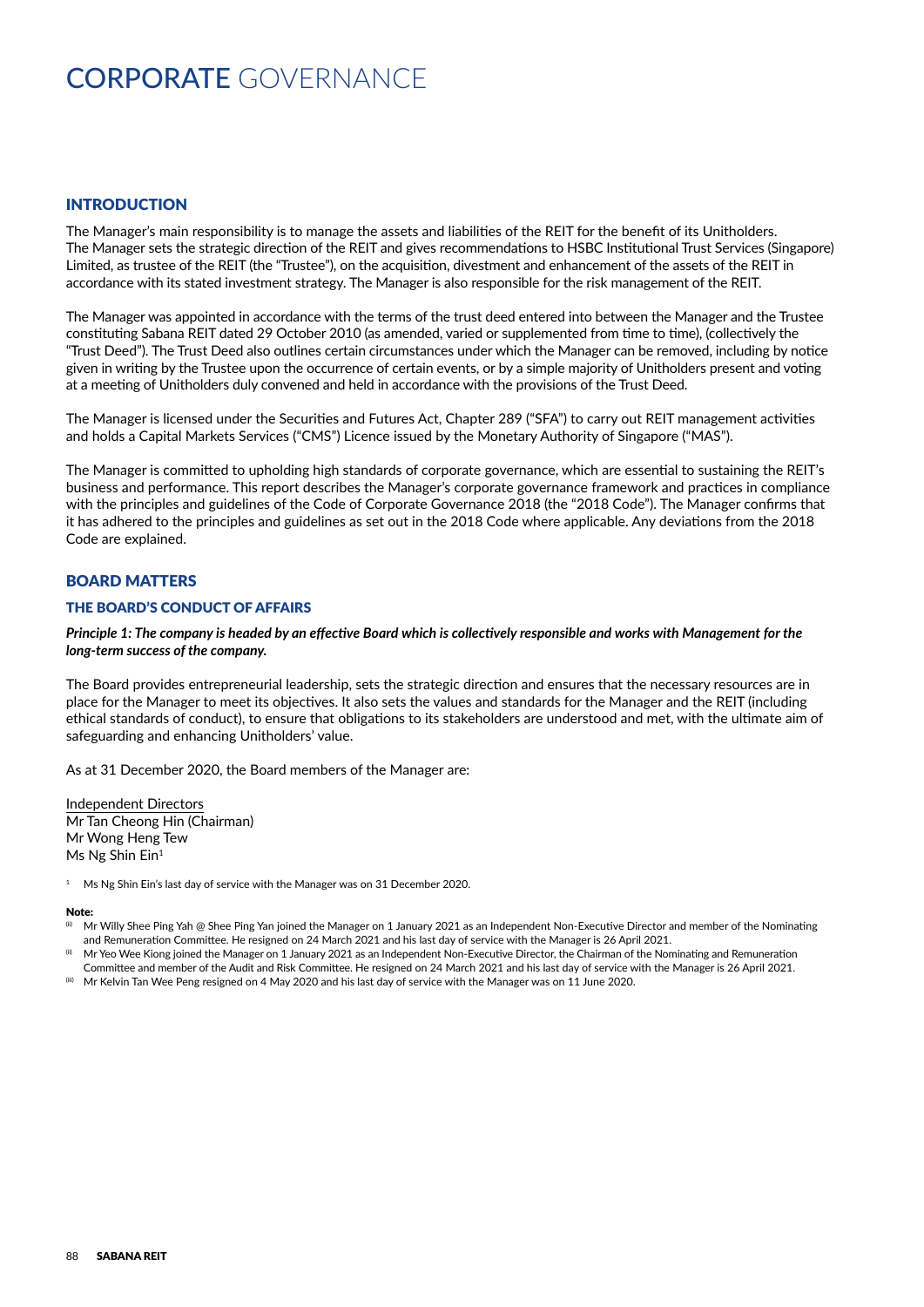# CORPORATE GOVERNANCE

## INTRODUCTION

The Manager's main responsibility is to manage the assets and liabilities of the REIT for the benefit of its Unitholders. The Manager sets the strategic direction of the REIT and gives recommendations to HSBC Institutional Trust Services (Singapore) Limited, as trustee of the REIT (the "Trustee"), on the acquisition, divestment and enhancement of the assets of the REIT in accordance with its stated investment strategy. The Manager is also responsible for the risk management of the REIT.

The Manager was appointed in accordance with the terms of the trust deed entered into between the Manager and the Trustee constituting Sabana REIT dated 29 October 2010 (as amended, varied or supplemented from time to time), (collectively the "Trust Deed"). The Trust Deed also outlines certain circumstances under which the Manager can be removed, including by notice given in writing by the Trustee upon the occurrence of certain events, or by a simple majority of Unitholders present and voting at a meeting of Unitholders duly convened and held in accordance with the provisions of the Trust Deed.

The Manager is licensed under the Securities and Futures Act, Chapter 289 ("SFA") to carry out REIT management activities and holds a Capital Markets Services ("CMS") Licence issued by the Monetary Authority of Singapore ("MAS").

The Manager is committed to upholding high standards of corporate governance, which are essential to sustaining the REIT's business and performance. This report describes the Manager's corporate governance framework and practices in compliance with the principles and guidelines of the Code of Corporate Governance 2018 (the "2018 Code"). The Manager confirms that it has adhered to the principles and guidelines as set out in the 2018 Code where applicable. Any deviations from the 2018 Code are explained.

# BOARD MATTERS

### THE BOARD'S CONDUCT OF AFFAIRS

#### *Principle 1: The company is headed by an effective Board which is collectively responsible and works with Management for the long-term success of the company.*

The Board provides entrepreneurial leadership, sets the strategic direction and ensures that the necessary resources are in place for the Manager to meet its objectives. It also sets the values and standards for the Manager and the REIT (including ethical standards of conduct), to ensure that obligations to its stakeholders are understood and met, with the ultimate aim of safeguarding and enhancing Unitholders' value.

As at 31 December 2020, the Board members of the Manager are:

Independent Directors Mr Tan Cheong Hin (Chairman) Mr Wong Heng Tew Ms Ng Shin Ein<sup>1</sup>

#### Note:

Mr Willy Shee Ping Yah @ Shee Ping Yan joined the Manager on 1 January 2021 as an Independent Non-Executive Director and member of the Nominating and Remuneration Committee. He resigned on 24 March 2021 and his last day of service with the Manager is 26 April 2021.

Mr Yeo Wee Kiong joined the Manager on 1 January 2021 as an Independent Non-Executive Director, the Chairman of the Nominating and Remuneration Committee and member of the Audit and Risk Committee. He resigned on 24 March 2021 and his last day of service with the Manager is 26 April 2021.

 $^{(ii)}$  Mr Kelvin Tan Wee Peng resigned on 4 May 2020 and his last day of service with the Manager was on 11 June 2020.

 $1$  Ms Ng Shin Ein's last day of service with the Manager was on 31 December 2020.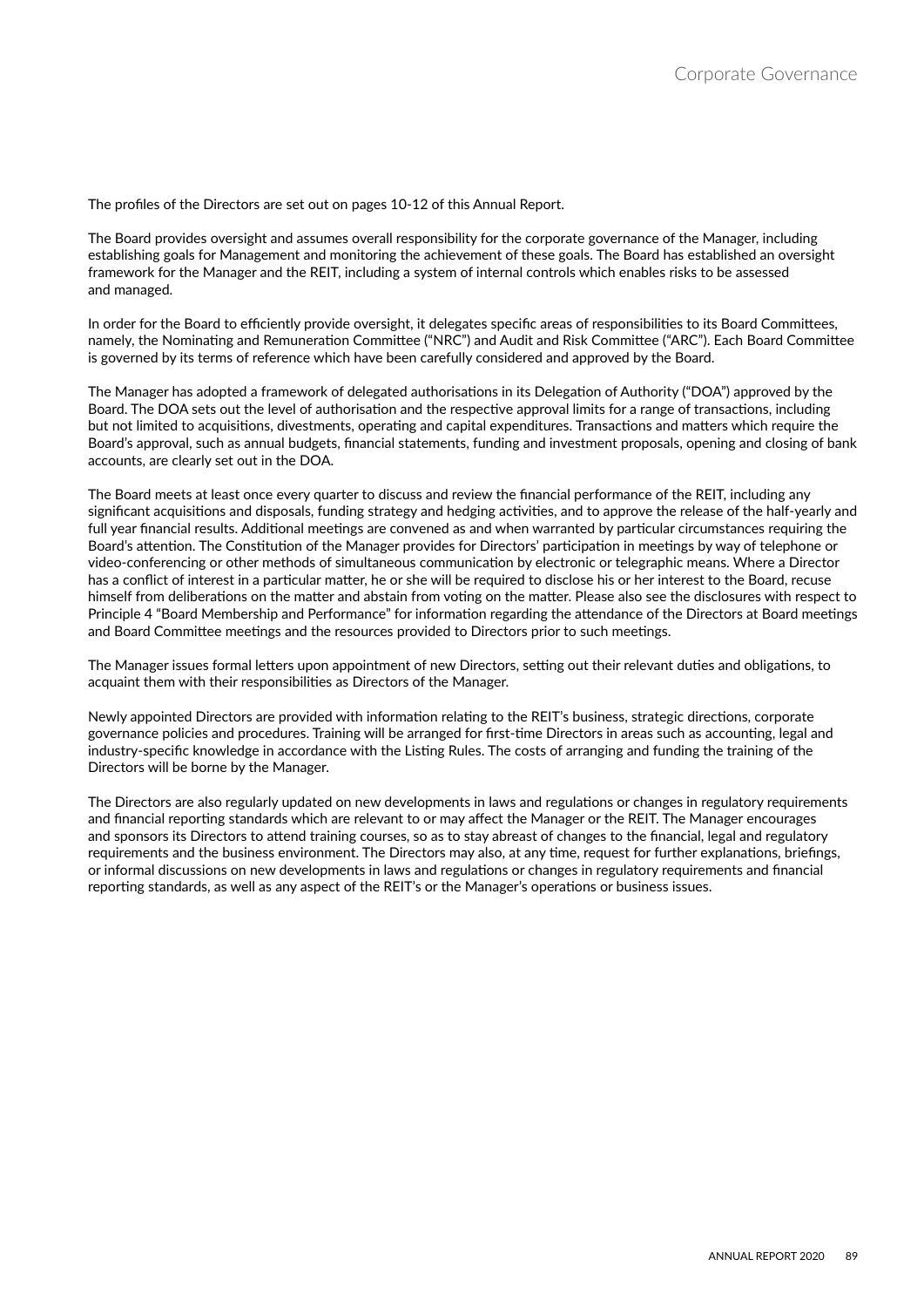The profiles of the Directors are set out on pages 10-12 of this Annual Report.

The Board provides oversight and assumes overall responsibility for the corporate governance of the Manager, including establishing goals for Management and monitoring the achievement of these goals. The Board has established an oversight framework for the Manager and the REIT, including a system of internal controls which enables risks to be assessed and managed.

In order for the Board to efficiently provide oversight, it delegates specific areas of responsibilities to its Board Committees, namely, the Nominating and Remuneration Committee ("NRC") and Audit and Risk Committee ("ARC"). Each Board Committee is governed by its terms of reference which have been carefully considered and approved by the Board.

The Manager has adopted a framework of delegated authorisations in its Delegation of Authority ("DOA") approved by the Board. The DOA sets out the level of authorisation and the respective approval limits for a range of transactions, including but not limited to acquisitions, divestments, operating and capital expenditures. Transactions and matters which require the Board's approval, such as annual budgets, financial statements, funding and investment proposals, opening and closing of bank accounts, are clearly set out in the DOA.

The Board meets at least once every quarter to discuss and review the financial performance of the REIT, including any significant acquisitions and disposals, funding strategy and hedging activities, and to approve the release of the half-yearly and full year financial results. Additional meetings are convened as and when warranted by particular circumstances requiring the Board's attention. The Constitution of the Manager provides for Directors' participation in meetings by way of telephone or video-conferencing or other methods of simultaneous communication by electronic or telegraphic means. Where a Director has a conflict of interest in a particular matter, he or she will be required to disclose his or her interest to the Board, recuse himself from deliberations on the matter and abstain from voting on the matter. Please also see the disclosures with respect to Principle 4 "Board Membership and Performance" for information regarding the attendance of the Directors at Board meetings and Board Committee meetings and the resources provided to Directors prior to such meetings.

The Manager issues formal letters upon appointment of new Directors, setting out their relevant duties and obligations, to acquaint them with their responsibilities as Directors of the Manager.

Newly appointed Directors are provided with information relating to the REIT's business, strategic directions, corporate governance policies and procedures. Training will be arranged for first-time Directors in areas such as accounting, legal and industry-specific knowledge in accordance with the Listing Rules. The costs of arranging and funding the training of the Directors will be borne by the Manager.

The Directors are also regularly updated on new developments in laws and regulations or changes in regulatory requirements and financial reporting standards which are relevant to or may affect the Manager or the REIT. The Manager encourages and sponsors its Directors to attend training courses, so as to stay abreast of changes to the financial, legal and regulatory requirements and the business environment. The Directors may also, at any time, request for further explanations, briefings, or informal discussions on new developments in laws and regulations or changes in regulatory requirements and financial reporting standards, as well as any aspect of the REIT's or the Manager's operations or business issues.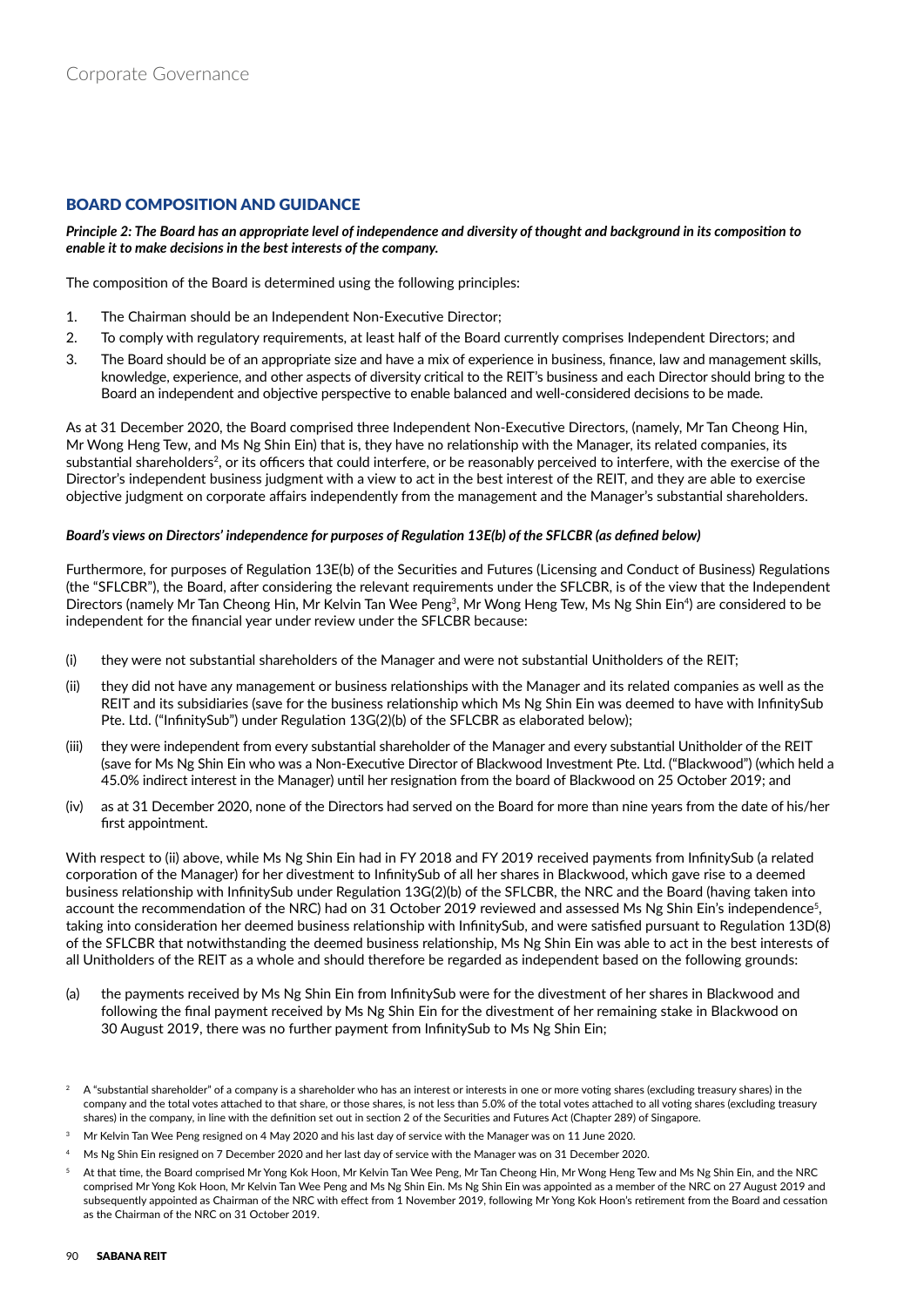# BOARD COMPOSITION AND GUIDANCE

*Principle 2: The Board has an appropriate level of independence and diversity of thought and background in its composition to enable it to make decisions in the best interests of the company.*

The composition of the Board is determined using the following principles:

- 1. The Chairman should be an Independent Non-Executive Director;
- 2. To comply with regulatory requirements, at least half of the Board currently comprises Independent Directors; and
- 3. The Board should be of an appropriate size and have a mix of experience in business, finance, law and management skills, knowledge, experience, and other aspects of diversity critical to the REIT's business and each Director should bring to the Board an independent and objective perspective to enable balanced and well-considered decisions to be made.

As at 31 December 2020, the Board comprised three Independent Non-Executive Directors, (namely, Mr Tan Cheong Hin, Mr Wong Heng Tew, and Ms Ng Shin Ein) that is, they have no relationship with the Manager, its related companies, its substantial shareholders<sup>2</sup>, or its officers that could interfere, or be reasonably perceived to interfere, with the exercise of the Director's independent business judgment with a view to act in the best interest of the REIT, and they are able to exercise objective judgment on corporate affairs independently from the management and the Manager's substantial shareholders.

#### *Board's views on Directors' independence for purposes of Regulation 13E(b) of the SFLCBR (as defined below)*

Furthermore, for purposes of Regulation 13E(b) of the Securities and Futures (Licensing and Conduct of Business) Regulations (the "SFLCBR"), the Board, after considering the relevant requirements under the SFLCBR, is of the view that the Independent Directors (namely Mr Tan Cheong Hin, Mr Kelvin Tan Wee Peng<sup>3</sup>, Mr Wong Heng Tew, Ms Ng Shin Ein<sup>4</sup>) are considered to be independent for the financial year under review under the SFLCBR because:

- (i) they were not substantial shareholders of the Manager and were not substantial Unitholders of the REIT;
- (ii) they did not have any management or business relationships with the Manager and its related companies as well as the REIT and its subsidiaries (save for the business relationship which Ms Ng Shin Ein was deemed to have with InfinitySub Pte. Ltd. ("InfinitySub") under Regulation 13G(2)(b) of the SFLCBR as elaborated below);
- (iii) they were independent from every substantial shareholder of the Manager and every substantial Unitholder of the REIT (save for Ms Ng Shin Ein who was a Non-Executive Director of Blackwood Investment Pte. Ltd. ("Blackwood") (which held a 45.0% indirect interest in the Manager) until her resignation from the board of Blackwood on 25 October 2019; and
- (iv) as at 31 December 2020, none of the Directors had served on the Board for more than nine years from the date of his/her first appointment.

With respect to (ii) above, while Ms Ng Shin Ein had in FY 2018 and FY 2019 received payments from InfinitySub (a related corporation of the Manager) for her divestment to InfinitySub of all her shares in Blackwood, which gave rise to a deemed business relationship with InfinitySub under Regulation 13G(2)(b) of the SFLCBR, the NRC and the Board (having taken into account the recommendation of the NRC) had on 31 October 2019 reviewed and assessed Ms Ng Shin Ein's independence<sup>5</sup>, taking into consideration her deemed business relationship with InfinitySub, and were satisfied pursuant to Regulation 13D(8) of the SFLCBR that notwithstanding the deemed business relationship, Ms Ng Shin Ein was able to act in the best interests of all Unitholders of the REIT as a whole and should therefore be regarded as independent based on the following grounds:

(a) the payments received by Ms Ng Shin Ein from InfinitySub were for the divestment of her shares in Blackwood and following the final payment received by Ms Ng Shin Ein for the divestment of her remaining stake in Blackwood on 30 August 2019, there was no further payment from InfinitySub to Ms Ng Shin Ein;

- $^{\rm 3}$  Mr Kelvin Tan Wee Peng resigned on 4 May 2020 and his last day of service with the Manager was on 11 June 2020.
- 4 Ms Ng Shin Ein resigned on 7 December 2020 and her last day of service with the Manager was on 31 December 2020.
- 5 At that time, the Board comprised Mr Yong Kok Hoon, Mr Kelvin Tan Wee Peng, Mr Tan Cheong Hin, Mr Wong Heng Tew and Ms Ng Shin Ein, and the NRC comprised Mr Yong Kok Hoon, Mr Kelvin Tan Wee Peng and Ms Ng Shin Ein. Ms Ng Shin Ein was appointed as a member of the NRC on 27 August 2019 and subsequently appointed as Chairman of the NRC with effect from 1 November 2019, following Mr Yong Kok Hoon's retirement from the Board and cessation as the Chairman of the NRC on 31 October 2019.

<sup>2</sup> A "substantial shareholder" of a company is a shareholder who has an interest or interests in one or more voting shares (excluding treasury shares) in the company and the total votes attached to that share, or those shares, is not less than 5.0% of the total votes attached to all voting shares (excluding treasury shares) in the company, in line with the definition set out in section 2 of the Securities and Futures Act (Chapter 289) of Singapore.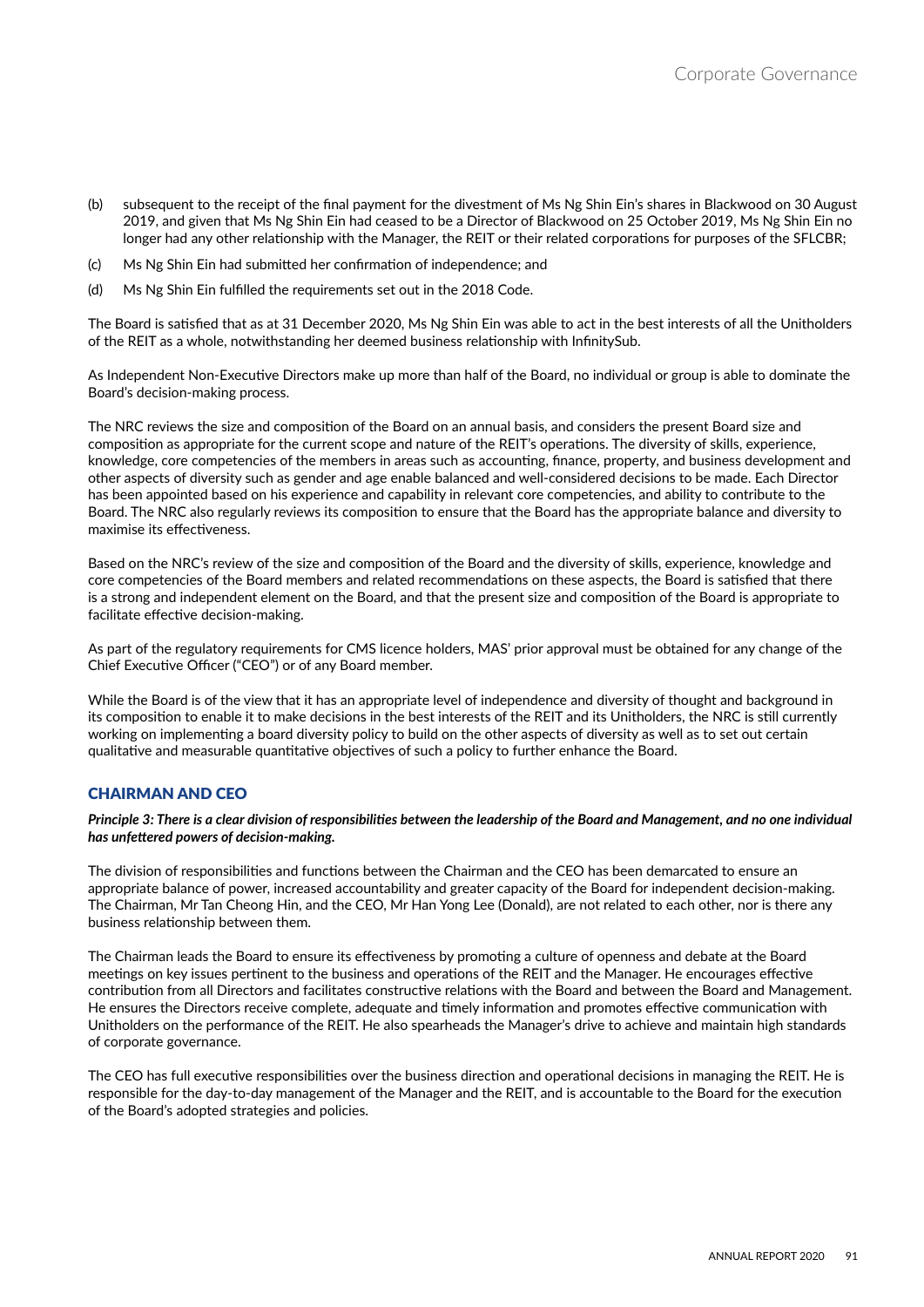- (b) subsequent to the receipt of the final payment for the divestment of Ms Ng Shin Ein's shares in Blackwood on 30 August 2019, and given that Ms Ng Shin Ein had ceased to be a Director of Blackwood on 25 October 2019, Ms Ng Shin Ein no longer had any other relationship with the Manager, the REIT or their related corporations for purposes of the SFLCBR;
- (c) Ms Ng Shin Ein had submitted her confirmation of independence; and
- (d) Ms Ng Shin Ein fulfilled the requirements set out in the 2018 Code.

The Board is satisfied that as at 31 December 2020, Ms Ng Shin Ein was able to act in the best interests of all the Unitholders of the REIT as a whole, notwithstanding her deemed business relationship with InfinitySub.

As Independent Non-Executive Directors make up more than half of the Board, no individual or group is able to dominate the Board's decision-making process.

The NRC reviews the size and composition of the Board on an annual basis, and considers the present Board size and composition as appropriate for the current scope and nature of the REIT's operations. The diversity of skills, experience, knowledge, core competencies of the members in areas such as accounting, finance, property, and business development and other aspects of diversity such as gender and age enable balanced and well-considered decisions to be made. Each Director has been appointed based on his experience and capability in relevant core competencies, and ability to contribute to the Board. The NRC also regularly reviews its composition to ensure that the Board has the appropriate balance and diversity to maximise its effectiveness.

Based on the NRC's review of the size and composition of the Board and the diversity of skills, experience, knowledge and core competencies of the Board members and related recommendations on these aspects, the Board is satisfied that there is a strong and independent element on the Board, and that the present size and composition of the Board is appropriate to facilitate effective decision-making.

As part of the regulatory requirements for CMS licence holders, MAS' prior approval must be obtained for any change of the Chief Executive Officer ("CEO") or of any Board member.

While the Board is of the view that it has an appropriate level of independence and diversity of thought and background in its composition to enable it to make decisions in the best interests of the REIT and its Unitholders, the NRC is still currently working on implementing a board diversity policy to build on the other aspects of diversity as well as to set out certain qualitative and measurable quantitative objectives of such a policy to further enhance the Board.

## CHAIRMAN AND CEO

*Principle 3: There is a clear division of responsibilities between the leadership of the Board and Management, and no one individual has unfettered powers of decision-making.*

The division of responsibilities and functions between the Chairman and the CEO has been demarcated to ensure an appropriate balance of power, increased accountability and greater capacity of the Board for independent decision-making. The Chairman, Mr Tan Cheong Hin, and the CEO, Mr Han Yong Lee (Donald), are not related to each other, nor is there any business relationship between them.

The Chairman leads the Board to ensure its effectiveness by promoting a culture of openness and debate at the Board meetings on key issues pertinent to the business and operations of the REIT and the Manager. He encourages effective contribution from all Directors and facilitates constructive relations with the Board and between the Board and Management. He ensures the Directors receive complete, adequate and timely information and promotes effective communication with Unitholders on the performance of the REIT. He also spearheads the Manager's drive to achieve and maintain high standards of corporate governance.

The CEO has full executive responsibilities over the business direction and operational decisions in managing the REIT. He is responsible for the day-to-day management of the Manager and the REIT, and is accountable to the Board for the execution of the Board's adopted strategies and policies.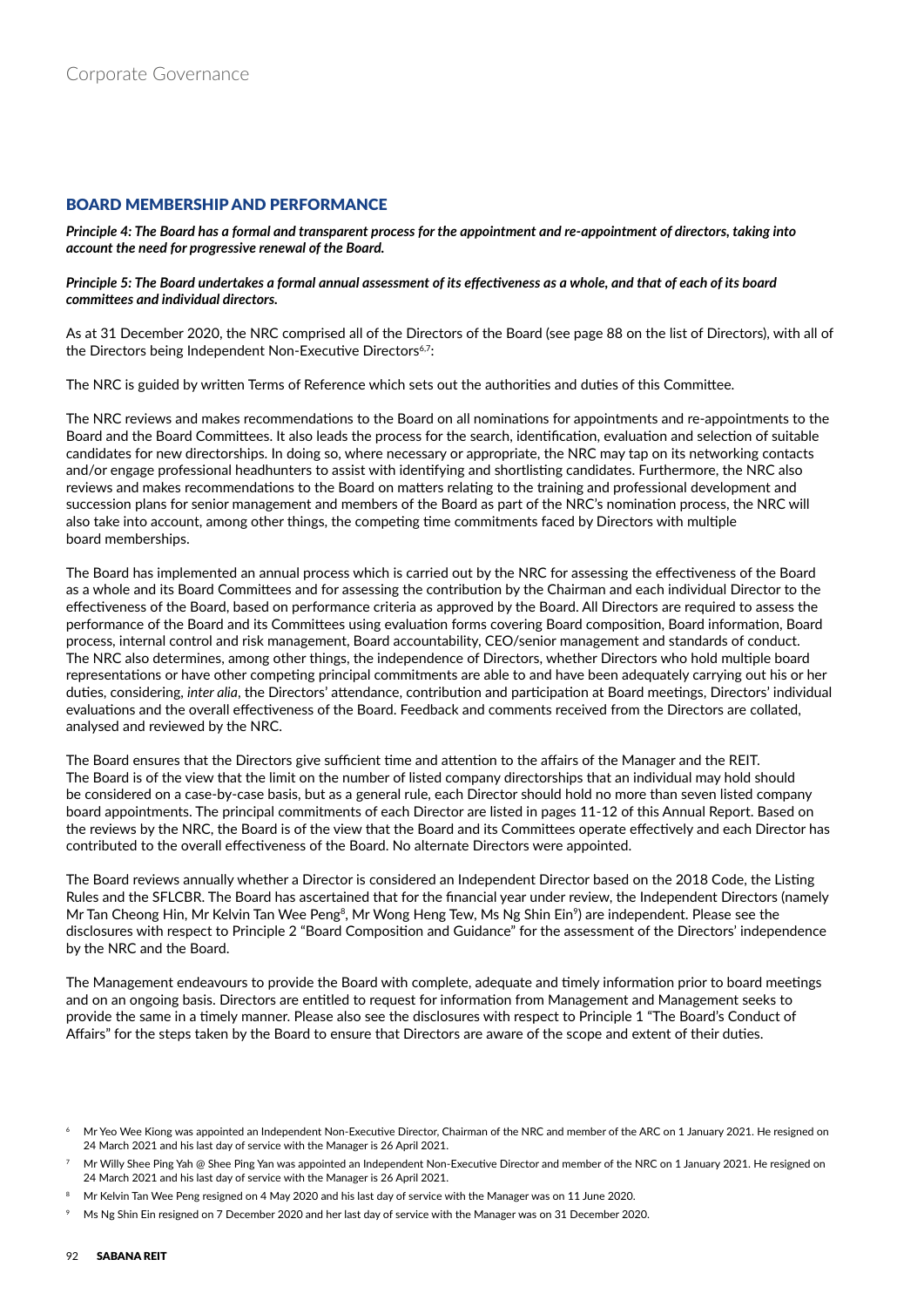# BOARD MEMBERSHIP AND PERFORMANCE

*Principle 4: The Board has a formal and transparent process for the appointment and re-appointment of directors, taking into account the need for progressive renewal of the Board.*

#### *Principle 5: The Board undertakes a formal annual assessment of its effectiveness as a whole, and that of each of its board committees and individual directors.*

As at 31 December 2020, the NRC comprised all of the Directors of the Board (see page 88 on the list of Directors), with all of the Directors being Independent Non-Executive Directors<sup>6,7</sup>:

The NRC is guided by written Terms of Reference which sets out the authorities and duties of this Committee.

The NRC reviews and makes recommendations to the Board on all nominations for appointments and re-appointments to the Board and the Board Committees. It also leads the process for the search, identification, evaluation and selection of suitable candidates for new directorships. In doing so, where necessary or appropriate, the NRC may tap on its networking contacts and/or engage professional headhunters to assist with identifying and shortlisting candidates. Furthermore, the NRC also reviews and makes recommendations to the Board on matters relating to the training and professional development and succession plans for senior management and members of the Board as part of the NRC's nomination process, the NRC will also take into account, among other things, the competing time commitments faced by Directors with multiple board memberships.

The Board has implemented an annual process which is carried out by the NRC for assessing the effectiveness of the Board as a whole and its Board Committees and for assessing the contribution by the Chairman and each individual Director to the effectiveness of the Board, based on performance criteria as approved by the Board. All Directors are required to assess the performance of the Board and its Committees using evaluation forms covering Board composition, Board information, Board process, internal control and risk management, Board accountability, CEO/senior management and standards of conduct. The NRC also determines, among other things, the independence of Directors, whether Directors who hold multiple board representations or have other competing principal commitments are able to and have been adequately carrying out his or her duties, considering, *inter alia*, the Directors' attendance, contribution and participation at Board meetings, Directors' individual evaluations and the overall effectiveness of the Board. Feedback and comments received from the Directors are collated, analysed and reviewed by the NRC.

The Board ensures that the Directors give sufficient time and attention to the affairs of the Manager and the REIT. The Board is of the view that the limit on the number of listed company directorships that an individual may hold should be considered on a case-by-case basis, but as a general rule, each Director should hold no more than seven listed company board appointments. The principal commitments of each Director are listed in pages 11-12 of this Annual Report. Based on the reviews by the NRC, the Board is of the view that the Board and its Committees operate effectively and each Director has contributed to the overall effectiveness of the Board. No alternate Directors were appointed.

The Board reviews annually whether a Director is considered an Independent Director based on the 2018 Code, the Listing Rules and the SFLCBR. The Board has ascertained that for the financial year under review, the Independent Directors (namely Mr Tan Cheong Hin, Mr Kelvin Tan Wee Peng $^8$ , Mr Wong Heng Tew, Ms Ng Shin Ein $^9$ ) are independent. Please see the disclosures with respect to Principle 2 "Board Composition and Guidance" for the assessment of the Directors' independence by the NRC and the Board.

The Management endeavours to provide the Board with complete, adequate and timely information prior to board meetings and on an ongoing basis. Directors are entitled to request for information from Management and Management seeks to provide the same in a timely manner. Please also see the disclosures with respect to Principle 1 "The Board's Conduct of Affairs" for the steps taken by the Board to ensure that Directors are aware of the scope and extent of their duties.

<sup>6</sup> Mr Yeo Wee Kiong was appointed an Independent Non-Executive Director, Chairman of the NRC and member of the ARC on 1 January 2021. He resigned on 24 March 2021 and his last day of service with the Manager is 26 April 2021.

<sup>7</sup> Mr Willy Shee Ping Yah @ Shee Ping Yan was appointed an Independent Non-Executive Director and member of the NRC on 1 January 2021. He resigned on 24 March 2021 and his last day of service with the Manager is 26 April 2021.

<sup>8</sup> Mr Kelvin Tan Wee Peng resigned on 4 May 2020 and his last day of service with the Manager was on 11 June 2020.

<sup>9</sup> Ms Ng Shin Ein resigned on 7 December 2020 and her last day of service with the Manager was on 31 December 2020.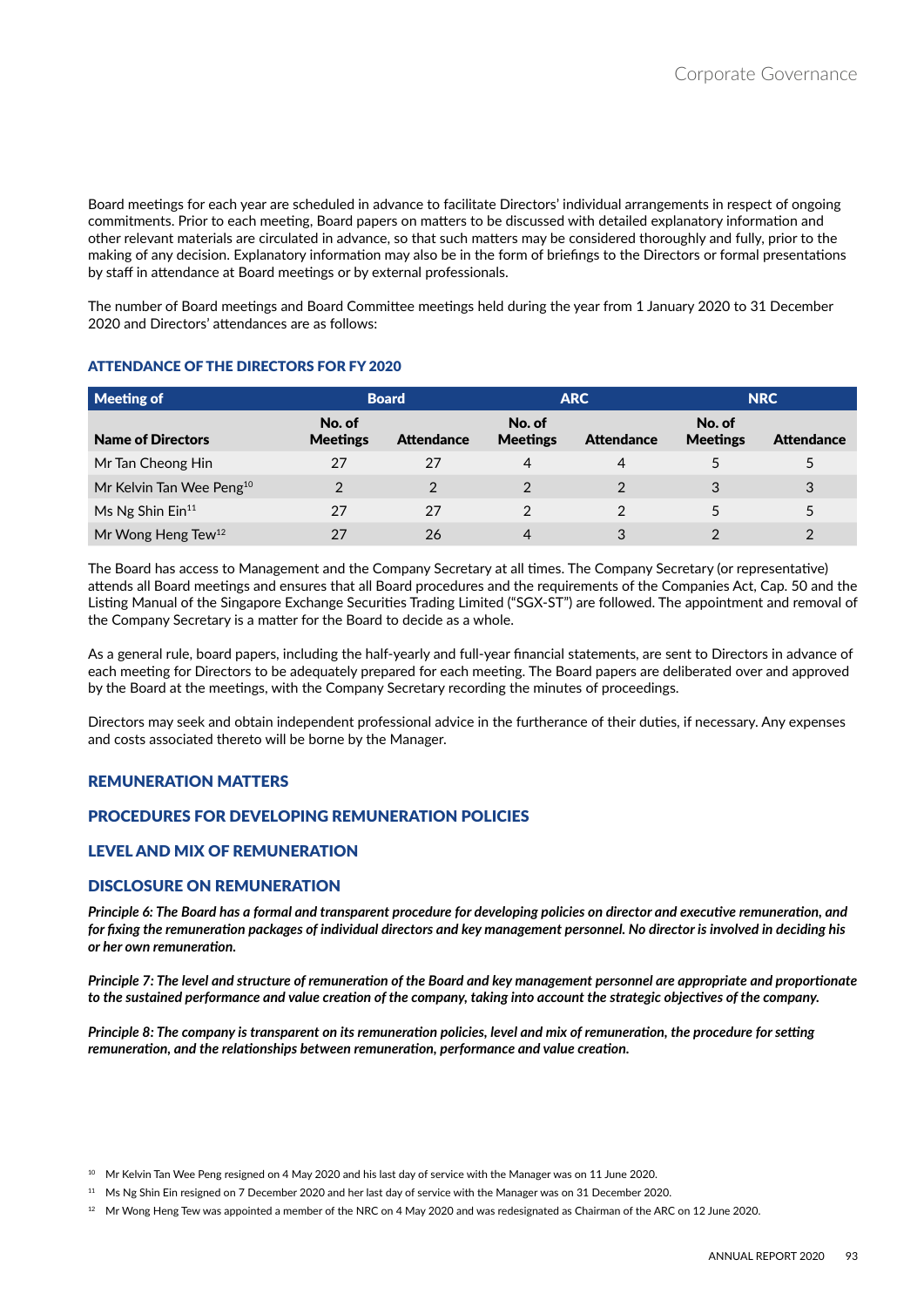Board meetings for each year are scheduled in advance to facilitate Directors' individual arrangements in respect of ongoing commitments. Prior to each meeting, Board papers on matters to be discussed with detailed explanatory information and other relevant materials are circulated in advance, so that such matters may be considered thoroughly and fully, prior to the making of any decision. Explanatory information may also be in the form of briefings to the Directors or formal presentations by staff in attendance at Board meetings or by external professionals.

The number of Board meetings and Board Committee meetings held during the year from 1 January 2020 to 31 December 2020 and Directors' attendances are as follows:

## **ATTENDANCE OF THE DIRECTORS FOR FY 2020**

| Meeting of                           |                           | <b>ARC</b><br><b>Board</b> |                           | <b>NRC</b>        |                           |                   |
|--------------------------------------|---------------------------|----------------------------|---------------------------|-------------------|---------------------------|-------------------|
| <b>Name of Directors</b>             | No. of<br><b>Meetings</b> | <b>Attendance</b>          | No. of<br><b>Meetings</b> | <b>Attendance</b> | No. of<br><b>Meetings</b> | <b>Attendance</b> |
| Mr Tan Cheong Hin                    | 27                        | 27                         | 4                         | 4                 |                           |                   |
| Mr Kelvin Tan Wee Peng <sup>10</sup> | $\mathfrak{p}$            | $\mathfrak{p}$             | $\mathcal{P}$             | 2                 | 3                         | 3                 |
| Ms Ng Shin Ein <sup>11</sup>         | 27                        | 27                         |                           |                   |                           | 5                 |
| Mr Wong Heng Tew <sup>12</sup>       | 27                        | 26                         | 4                         | 3                 |                           | າ                 |

The Board has access to Management and the Company Secretary at all times. The Company Secretary (or representative) attends all Board meetings and ensures that all Board procedures and the requirements of the Companies Act, Cap. 50 and the Listing Manual of the Singapore Exchange Securities Trading Limited ("SGX-ST") are followed. The appointment and removal of the Company Secretary is a matter for the Board to decide as a whole.

As a general rule, board papers, including the half-yearly and full-year financial statements, are sent to Directors in advance of each meeting for Directors to be adequately prepared for each meeting. The Board papers are deliberated over and approved by the Board at the meetings, with the Company Secretary recording the minutes of proceedings.

Directors may seek and obtain independent professional advice in the furtherance of their duties, if necessary. Any expenses and costs associated thereto will be borne by the Manager.

## REMUNERATION MATTERS

## PROCEDURES FOR DEVELOPING REMUNERATION POLICIES

## **LEVEL AND MIX OF REMUNERATION**

## DISCLOSURE ON REMUNERATION

*Principle 6: The Board has a formal and transparent procedure for developing policies on director and executive remuneration, and for fixing the remuneration packages of individual directors and key management personnel. No director is involved in deciding his or her own remuneration.*

*Principle 7: The level and structure of remuneration of the Board and key management personnel are appropriate and proportionate to the sustained performance and value creation of the company, taking into account the strategic objectives of the company.*

*Principle 8: The company is transparent on its remuneration policies, level and mix of remuneration, the procedure for setting remuneration, and the relationships between remuneration, performance and value creation.*

<sup>&</sup>lt;sup>10</sup> Mr Kelvin Tan Wee Peng resigned on 4 May 2020 and his last day of service with the Manager was on 11 June 2020.

<sup>&</sup>lt;sup>11</sup> Ms Ng Shin Ein resigned on 7 December 2020 and her last day of service with the Manager was on 31 December 2020.

<sup>&</sup>lt;sup>12</sup> Mr Wong Heng Tew was appointed a member of the NRC on 4 May 2020 and was redesignated as Chairman of the ARC on 12 June 2020.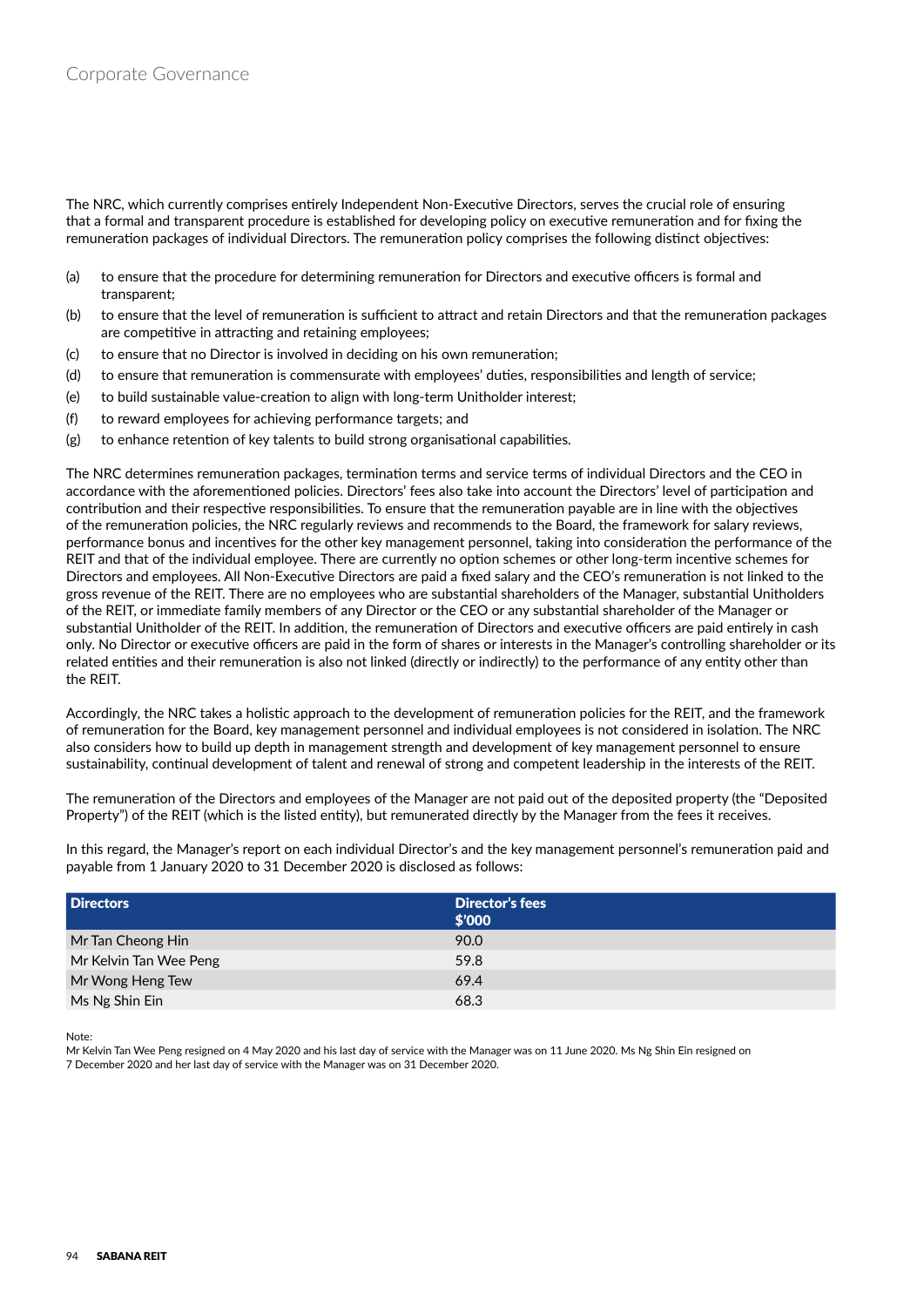The NRC, which currently comprises entirely Independent Non-Executive Directors, serves the crucial role of ensuring that a formal and transparent procedure is established for developing policy on executive remuneration and for fixing the remuneration packages of individual Directors. The remuneration policy comprises the following distinct objectives:

- (a) to ensure that the procedure for determining remuneration for Directors and executive officers is formal and transparent;
- (b) to ensure that the level of remuneration is sufficient to attract and retain Directors and that the remuneration packages are competitive in attracting and retaining employees;
- (c) to ensure that no Director is involved in deciding on his own remuneration;
- (d) to ensure that remuneration is commensurate with employees' duties, responsibilities and length of service;
- (e) to build sustainable value-creation to align with long-term Unitholder interest;
- (f) to reward employees for achieving performance targets; and
- (g) to enhance retention of key talents to build strong organisational capabilities.

The NRC determines remuneration packages, termination terms and service terms of individual Directors and the CEO in accordance with the aforementioned policies. Directors' fees also take into account the Directors' level of participation and contribution and their respective responsibilities. To ensure that the remuneration payable are in line with the objectives of the remuneration policies, the NRC regularly reviews and recommends to the Board, the framework for salary reviews, performance bonus and incentives for the other key management personnel, taking into consideration the performance of the REIT and that of the individual employee. There are currently no option schemes or other long-term incentive schemes for Directors and employees. All Non-Executive Directors are paid a fixed salary and the CEO's remuneration is not linked to the gross revenue of the REIT. There are no employees who are substantial shareholders of the Manager, substantial Unitholders of the REIT, or immediate family members of any Director or the CEO or any substantial shareholder of the Manager or substantial Unitholder of the REIT. In addition, the remuneration of Directors and executive officers are paid entirely in cash only. No Director or executive officers are paid in the form of shares or interests in the Manager's controlling shareholder or its related entities and their remuneration is also not linked (directly or indirectly) to the performance of any entity other than the REIT.

Accordingly, the NRC takes a holistic approach to the development of remuneration policies for the REIT, and the framework of remuneration for the Board, key management personnel and individual employees is not considered in isolation. The NRC also considers how to build up depth in management strength and development of key management personnel to ensure sustainability, continual development of talent and renewal of strong and competent leadership in the interests of the REIT.

The remuneration of the Directors and employees of the Manager are not paid out of the deposited property (the "Deposited Property") of the REIT (which is the listed entity), but remunerated directly by the Manager from the fees it receives.

In this regard, the Manager's report on each individual Director's and the key management personnel's remuneration paid and payable from 1 January 2020 to 31 December 2020 is disclosed as follows:

| <b>Directors</b>       | <b>Director's fees</b><br>\$'000 |
|------------------------|----------------------------------|
| Mr Tan Cheong Hin      | 90.0                             |
| Mr Kelvin Tan Wee Peng | 59.8                             |
| Mr Wong Heng Tew       | 69.4                             |
| Ms Ng Shin Ein         | 68.3                             |

Note:

Mr Kelvin Tan Wee Peng resigned on 4 May 2020 and his last day of service with the Manager was on 11 June 2020. Ms Ng Shin Ein resigned on 7 December 2020 and her last day of service with the Manager was on 31 December 2020.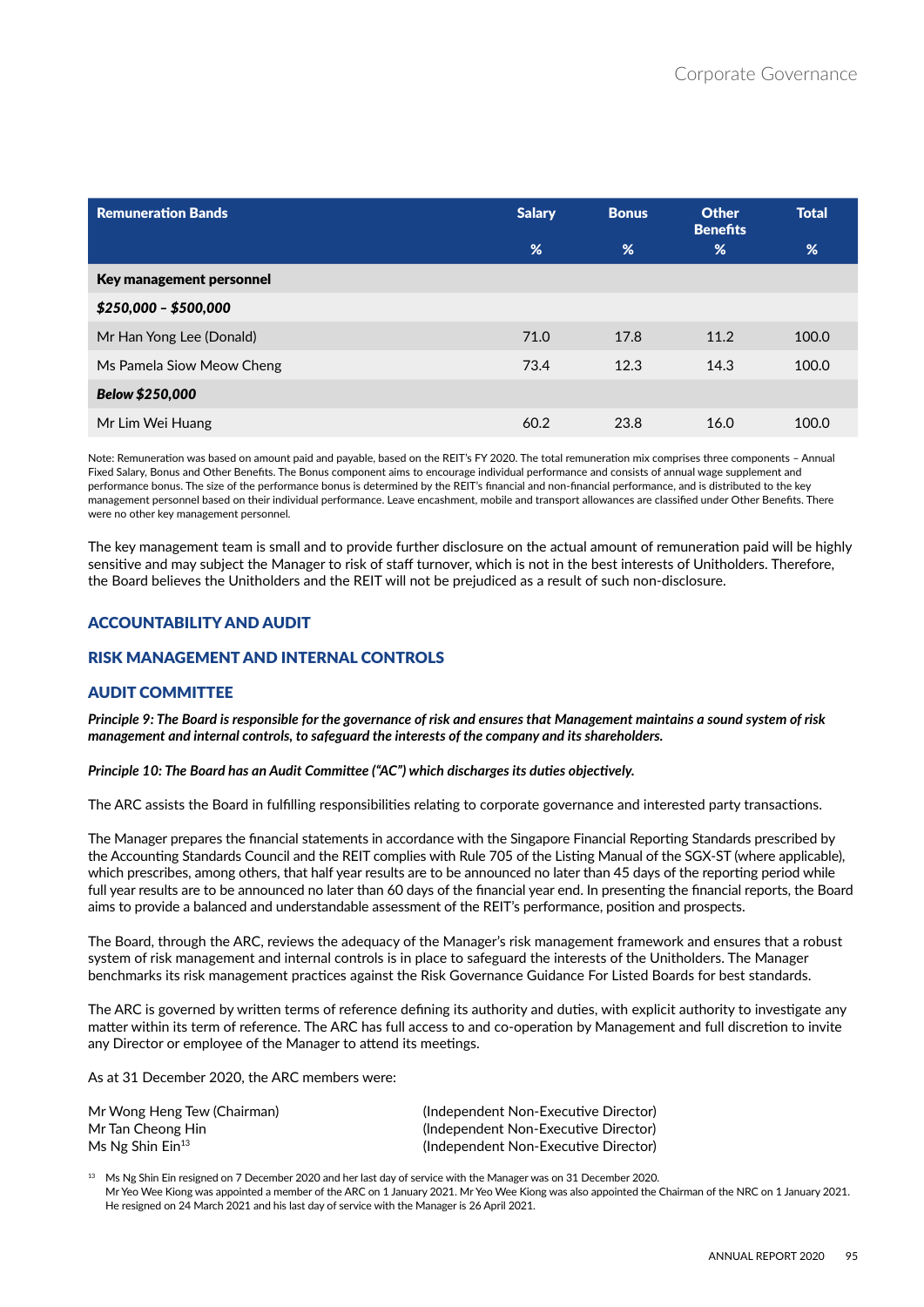| <b>Remuneration Bands</b> | <b>Salary</b> | <b>Bonus</b> | <b>Other</b><br><b>Benefits</b> | <b>Total</b> |
|---------------------------|---------------|--------------|---------------------------------|--------------|
|                           | %             | %            | %                               | %            |
| Key management personnel  |               |              |                                 |              |
| $$250,000 - $500,000$     |               |              |                                 |              |
| Mr Han Yong Lee (Donald)  | 71.0          | 17.8         | 11.2                            | 100.0        |
| Ms Pamela Siow Meow Cheng | 73.4          | 12.3         | 14.3                            | 100.0        |
| Below \$250,000           |               |              |                                 |              |
| Mr Lim Wei Huang          | 60.2          | 23.8         | 16.0                            | 100.0        |

Note: Remuneration was based on amount paid and payable, based on the REIT's FY 2020. The total remuneration mix comprises three components – Annual Fixed Salary, Bonus and Other Benefits. The Bonus component aims to encourage individual performance and consists of annual wage supplement and performance bonus. The size of the performance bonus is determined by the REIT's financial and non-financial performance, and is distributed to the key management personnel based on their individual performance. Leave encashment, mobile and transport allowances are classified under Other Benefits. There were no other key management personnel.

The key management team is small and to provide further disclosure on the actual amount of remuneration paid will be highly sensitive and may subject the Manager to risk of staff turnover, which is not in the best interests of Unitholders. Therefore, the Board believes the Unitholders and the REIT will not be prejudiced as a result of such non-disclosure.

# **ACCOUNTABILITY AND AUDIT**

# RISK MANAGEMENT AND INTERNAL CONTROLS

## AUDIT COMMITTEE

*Principle 9: The Board is responsible for the governance of risk and ensures that Management maintains a sound system of risk management and internal controls, to safeguard the interests of the company and its shareholders.*

#### *Principle 10: The Board has an Audit Committee ("AC") which discharges its duties objectively.*

The ARC assists the Board in fulfilling responsibilities relating to corporate governance and interested party transactions.

The Manager prepares the financial statements in accordance with the Singapore Financial Reporting Standards prescribed by the Accounting Standards Council and the REIT complies with Rule 705 of the Listing Manual of the SGX-ST (where applicable), which prescribes, among others, that half year results are to be announced no later than 45 days of the reporting period while full year results are to be announced no later than 60 days of the financial year end. In presenting the financial reports, the Board aims to provide a balanced and understandable assessment of the REIT's performance, position and prospects.

The Board, through the ARC, reviews the adequacy of the Manager's risk management framework and ensures that a robust system of risk management and internal controls is in place to safeguard the interests of the Unitholders. The Manager benchmarks its risk management practices against the Risk Governance Guidance For Listed Boards for best standards.

The ARC is governed by written terms of reference defining its authority and duties, with explicit authority to investigate any matter within its term of reference. The ARC has full access to and co-operation by Management and full discretion to invite any Director or employee of the Manager to attend its meetings.

As at 31 December 2020, the ARC members were:

| Mr Wong Heng Tew (Chairman)    | (Independent Non-Executive Director) |
|--------------------------------|--------------------------------------|
| Mr Tan Cheong Hin              | (Independent Non-Executive Director) |
| Ms Ng Shin $\mathsf{Ein^{13}}$ | (Independent Non-Executive Director) |

<sup>13</sup> Ms Ng Shin Ein resigned on 7 December 2020 and her last day of service with the Manager was on 31 December 2020. Mr Yeo Wee Kiong was appointed a member of the ARC on 1 January 2021. Mr Yeo Wee Kiong was also appointed the Chairman of the NRC on 1 January 2021. He resigned on 24 March 2021 and his last day of service with the Manager is 26 April 2021.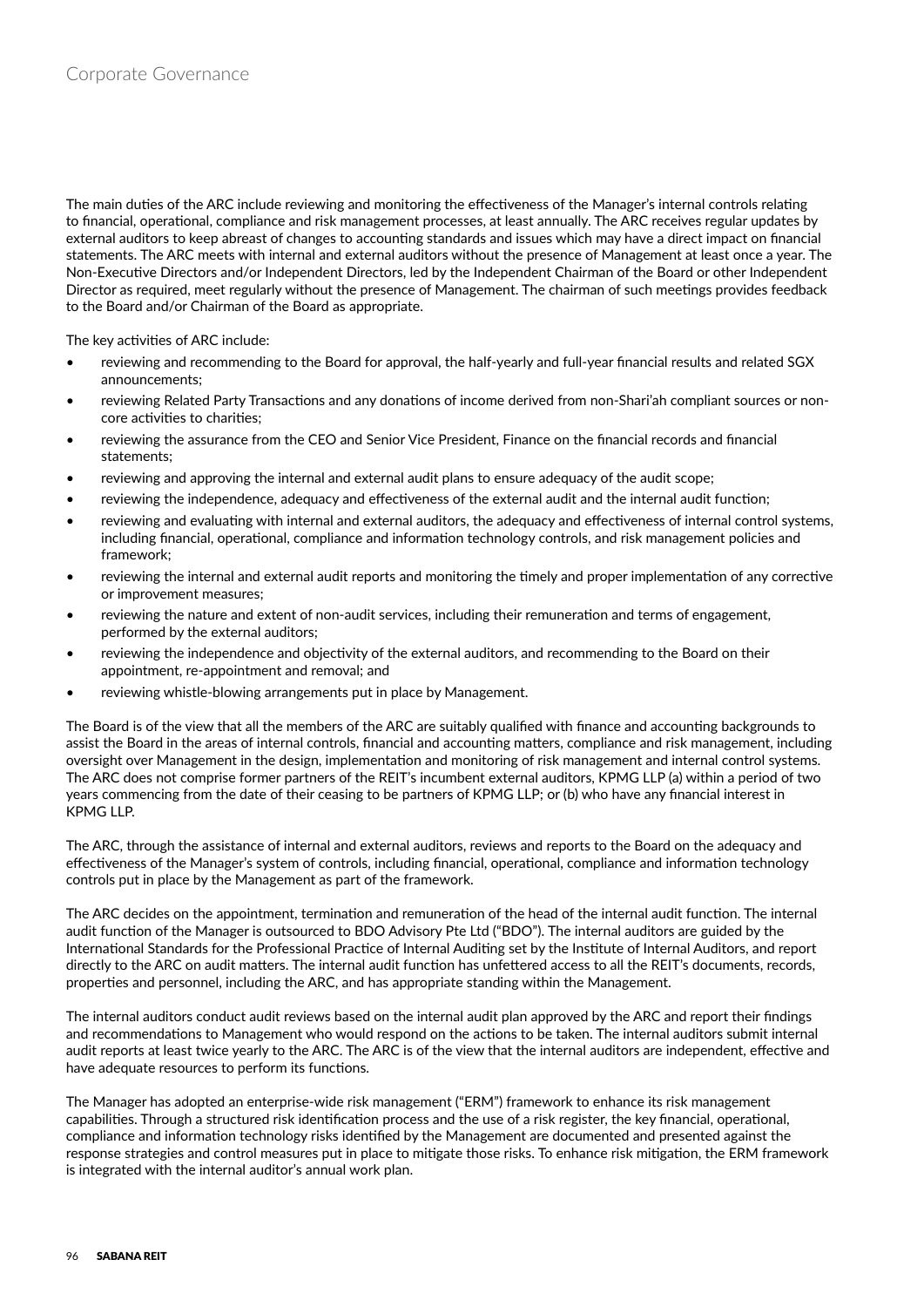The main duties of the ARC include reviewing and monitoring the effectiveness of the Manager's internal controls relating to financial, operational, compliance and risk management processes, at least annually. The ARC receives regular updates by external auditors to keep abreast of changes to accounting standards and issues which may have a direct impact on financial statements. The ARC meets with internal and external auditors without the presence of Management at least once a year. The Non-Executive Directors and/or Independent Directors, led by the Independent Chairman of the Board or other Independent Director as required, meet regularly without the presence of Management. The chairman of such meetings provides feedback to the Board and/or Chairman of the Board as appropriate.

The key activities of ARC include:

- reviewing and recommending to the Board for approval, the half-yearly and full-year financial results and related SGX announcements;
- reviewing Related Party Transactions and any donations of income derived from non-Shari'ah compliant sources or noncore activities to charities;
- reviewing the assurance from the CEO and Senior Vice President, Finance on the financial records and financial statements;
- reviewing and approving the internal and external audit plans to ensure adequacy of the audit scope;
- reviewing the independence, adequacy and effectiveness of the external audit and the internal audit function;
- reviewing and evaluating with internal and external auditors, the adequacy and effectiveness of internal control systems, including financial, operational, compliance and information technology controls, and risk management policies and framework;
- reviewing the internal and external audit reports and monitoring the timely and proper implementation of any corrective or improvement measures;
- reviewing the nature and extent of non-audit services, including their remuneration and terms of engagement, performed by the external auditors;
- reviewing the independence and objectivity of the external auditors, and recommending to the Board on their appointment, re-appointment and removal; and
- reviewing whistle-blowing arrangements put in place by Management.

The Board is of the view that all the members of the ARC are suitably qualified with finance and accounting backgrounds to assist the Board in the areas of internal controls, financial and accounting matters, compliance and risk management, including oversight over Management in the design, implementation and monitoring of risk management and internal control systems. The ARC does not comprise former partners of the REIT's incumbent external auditors, KPMG LLP (a) within a period of two years commencing from the date of their ceasing to be partners of KPMG LLP; or (b) who have any financial interest in KPMG LLP.

The ARC, through the assistance of internal and external auditors, reviews and reports to the Board on the adequacy and effectiveness of the Manager's system of controls, including financial, operational, compliance and information technology controls put in place by the Management as part of the framework.

The ARC decides on the appointment, termination and remuneration of the head of the internal audit function. The internal audit function of the Manager is outsourced to BDO Advisory Pte Ltd ("BDO"). The internal auditors are guided by the International Standards for the Professional Practice of Internal Auditing set by the Institute of Internal Auditors, and report directly to the ARC on audit matters. The internal audit function has unfettered access to all the REIT's documents, records, properties and personnel, including the ARC, and has appropriate standing within the Management.

The internal auditors conduct audit reviews based on the internal audit plan approved by the ARC and report their findings and recommendations to Management who would respond on the actions to be taken. The internal auditors submit internal audit reports at least twice yearly to the ARC. The ARC is of the view that the internal auditors are independent, effective and have adequate resources to perform its functions.

The Manager has adopted an enterprise-wide risk management ("ERM") framework to enhance its risk management capabilities. Through a structured risk identification process and the use of a risk register, the key financial, operational, compliance and information technology risks identified by the Management are documented and presented against the response strategies and control measures put in place to mitigate those risks. To enhance risk mitigation, the ERM framework is integrated with the internal auditor's annual work plan.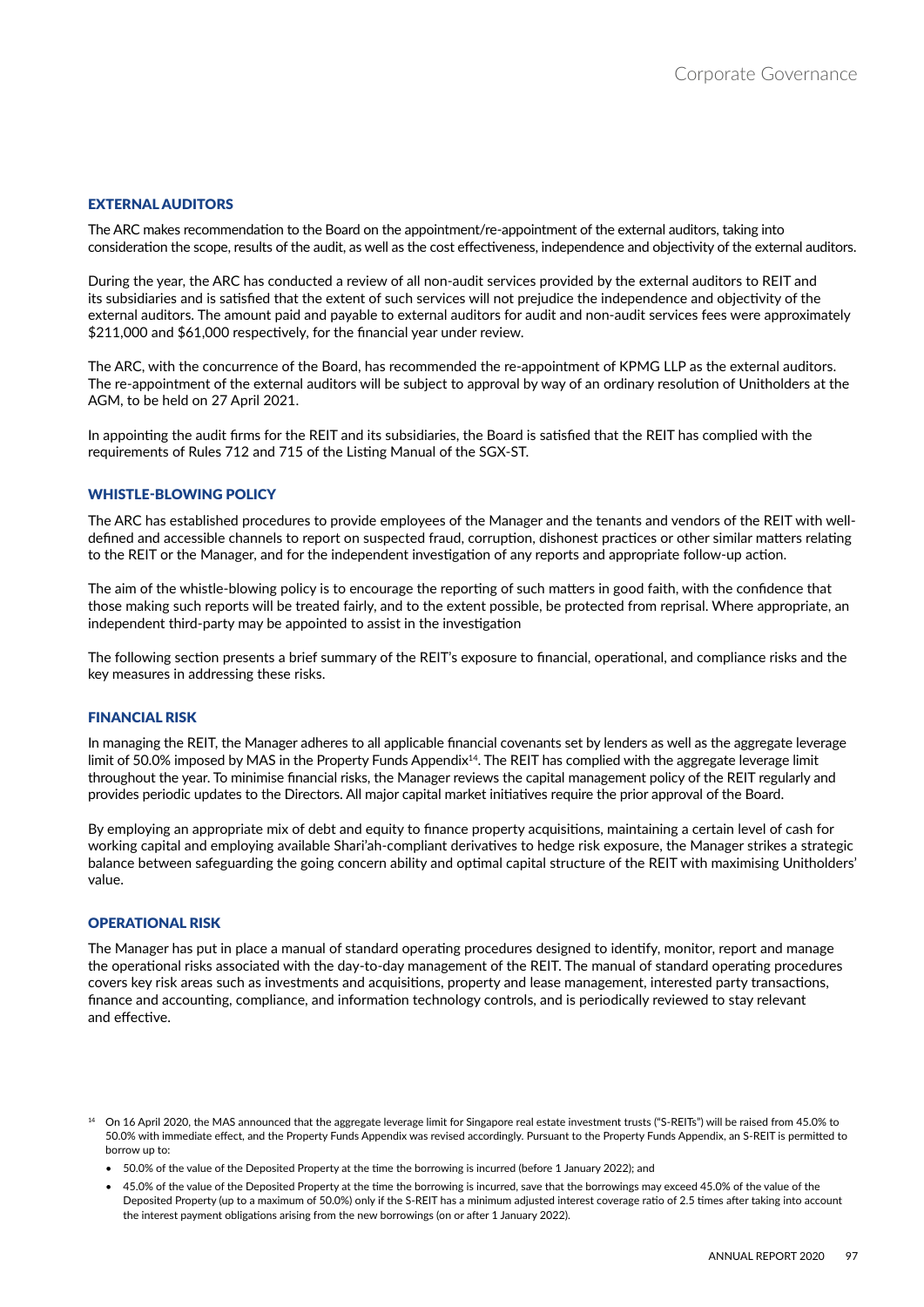#### EXTERNAL AUDITORS

The ARC makes recommendation to the Board on the appointment/re-appointment of the external auditors, taking into consideration the scope, results of the audit, as well as the cost effectiveness, independence and objectivity of the external auditors.

During the year, the ARC has conducted a review of all non-audit services provided by the external auditors to REIT and its subsidiaries and is satisfied that the extent of such services will not prejudice the independence and objectivity of the external auditors. The amount paid and payable to external auditors for audit and non-audit services fees were approximately \$211,000 and \$61,000 respectively, for the financial year under review.

The ARC, with the concurrence of the Board, has recommended the re-appointment of KPMG LLP as the external auditors. The re-appointment of the external auditors will be subject to approval by way of an ordinary resolution of Unitholders at the AGM, to be held on 27 April 2021.

In appointing the audit firms for the REIT and its subsidiaries, the Board is satisfied that the REIT has complied with the requirements of Rules 712 and 715 of the Listing Manual of the SGX-ST.

#### **WHISTLE-BLOWING POLICY**

The ARC has established procedures to provide employees of the Manager and the tenants and vendors of the REIT with welldefined and accessible channels to report on suspected fraud, corruption, dishonest practices or other similar matters relating to the REIT or the Manager, and for the independent investigation of any reports and appropriate follow-up action.

The aim of the whistle-blowing policy is to encourage the reporting of such matters in good faith, with the confidence that those making such reports will be treated fairly, and to the extent possible, be protected from reprisal. Where appropriate, an independent third-party may be appointed to assist in the investigation

The following section presents a brief summary of the REIT's exposure to financial, operational, and compliance risks and the key measures in addressing these risks.

#### FINANCIAL RISK

In managing the REIT, the Manager adheres to all applicable financial covenants set by lenders as well as the aggregate leverage limit of 50.0% imposed by MAS in the Property Funds Appendix<sup>14</sup>. The REIT has complied with the aggregate leverage limit throughout the year. To minimise financial risks, the Manager reviews the capital management policy of the REIT regularly and provides periodic updates to the Directors. All major capital market initiatives require the prior approval of the Board.

By employing an appropriate mix of debt and equity to finance property acquisitions, maintaining a certain level of cash for working capital and employing available Shari'ah-compliant derivatives to hedge risk exposure, the Manager strikes a strategic balance between safeguarding the going concern ability and optimal capital structure of the REIT with maximising Unitholders' value.

#### OPERATIONAL RISK

The Manager has put in place a manual of standard operating procedures designed to identify, monitor, report and manage the operational risks associated with the day-to-day management of the REIT. The manual of standard operating procedures covers key risk areas such as investments and acquisitions, property and lease management, interested party transactions, finance and accounting, compliance, and information technology controls, and is periodically reviewed to stay relevant and effective.

<sup>14</sup> On 16 April 2020, the MAS announced that the aggregate leverage limit for Singapore real estate investment trusts ("S-REITs") will be raised from 45.0% to 50.0% with immediate effect, and the Property Funds Appendix was revised accordingly. Pursuant to the Property Funds Appendix, an S-REIT is permitted to borrow up to:

• 50.0% of the value of the Deposited Property at the time the borrowing is incurred (before 1 January 2022); and

• 45.0% of the value of the Deposited Property at the time the borrowing is incurred, save that the borrowings may exceed 45.0% of the value of the Deposited Property (up to a maximum of 50.0%) only if the S-REIT has a minimum adjusted interest coverage ratio of 2.5 times after taking into account the interest payment obligations arising from the new borrowings (on or after 1 January 2022).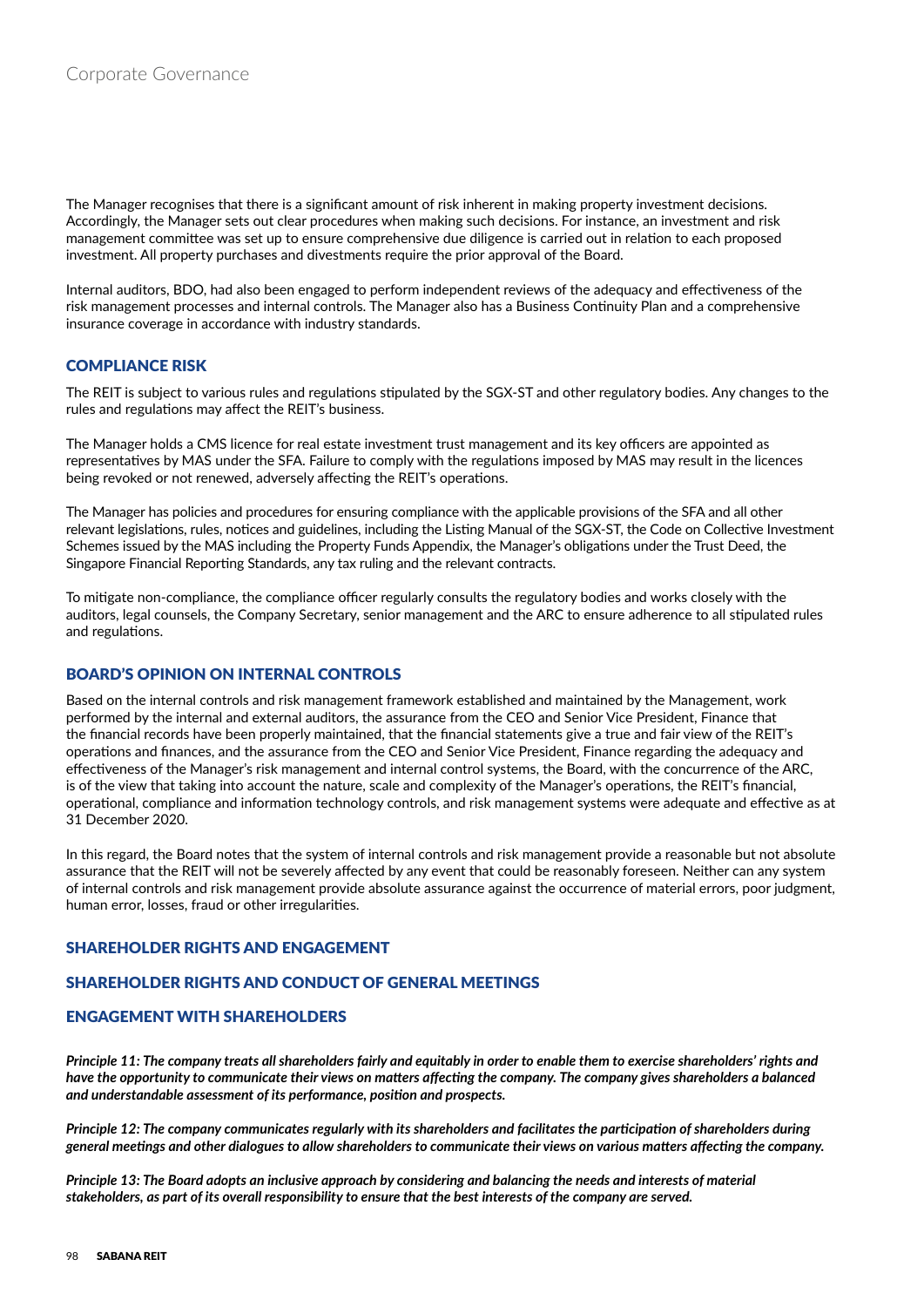The Manager recognises that there is a significant amount of risk inherent in making property investment decisions. Accordingly, the Manager sets out clear procedures when making such decisions. For instance, an investment and risk management committee was set up to ensure comprehensive due diligence is carried out in relation to each proposed investment. All property purchases and divestments require the prior approval of the Board.

Internal auditors, BDO, had also been engaged to perform independent reviews of the adequacy and effectiveness of the risk management processes and internal controls. The Manager also has a Business Continuity Plan and a comprehensive insurance coverage in accordance with industry standards.

## COMPLIANCE RISK

The REIT is subject to various rules and regulations stipulated by the SGX-ST and other regulatory bodies. Any changes to the rules and regulations may affect the REIT's business.

The Manager holds a CMS licence for real estate investment trust management and its key officers are appointed as representatives by MAS under the SFA. Failure to comply with the regulations imposed by MAS may result in the licences being revoked or not renewed, adversely affecting the REIT's operations.

The Manager has policies and procedures for ensuring compliance with the applicable provisions of the SFA and all other relevant legislations, rules, notices and guidelines, including the Listing Manual of the SGX-ST, the Code on Collective Investment Schemes issued by the MAS including the Property Funds Appendix, the Manager's obligations under the Trust Deed, the Singapore Financial Reporting Standards, any tax ruling and the relevant contracts.

To mitigate non-compliance, the compliance officer regularly consults the regulatory bodies and works closely with the auditors, legal counsels, the Company Secretary, senior management and the ARC to ensure adherence to all stipulated rules and regulations.

## BOARD'S OPINION ON INTERNAL CONTROLS

Based on the internal controls and risk management framework established and maintained by the Management, work performed by the internal and external auditors, the assurance from the CEO and Senior Vice President, Finance that the financial records have been properly maintained, that the financial statements give a true and fair view of the REIT's operations and finances, and the assurance from the CEO and Senior Vice President, Finance regarding the adequacy and effectiveness of the Manager's risk management and internal control systems, the Board, with the concurrence of the ARC, is of the view that taking into account the nature, scale and complexity of the Manager's operations, the REIT's financial, operational, compliance and information technology controls, and risk management systems were adequate and effective as at 31 December 2020.

In this regard, the Board notes that the system of internal controls and risk management provide a reasonable but not absolute assurance that the REIT will not be severely affected by any event that could be reasonably foreseen. Neither can any system of internal controls and risk management provide absolute assurance against the occurrence of material errors, poor judgment, human error, losses, fraud or other irregularities.

# SHAREHOLDER RIGHTS AND ENGAGEMENT

# SHAREHOLDER RIGHTS AND CONDUCT OF GENERAL MEETINGS

## ENGAGEMENT WITH SHAREHOLDERS

*Principle 11: The company treats all shareholders fairly and equitably in order to enable them to exercise shareholders' rights and have the opportunity to communicate their views on matters affecting the company. The company gives shareholders a balanced and understandable assessment of its performance, position and prospects.*

*Principle 12: The company communicates regularly with its shareholders and facilitates the participation of shareholders during general meetings and other dialogues to allow shareholders to communicate their views on various matters affecting the company.*

*Principle 13: The Board adopts an inclusive approach by considering and balancing the needs and interests of material stakeholders, as part of its overall responsibility to ensure that the best interests of the company are served.*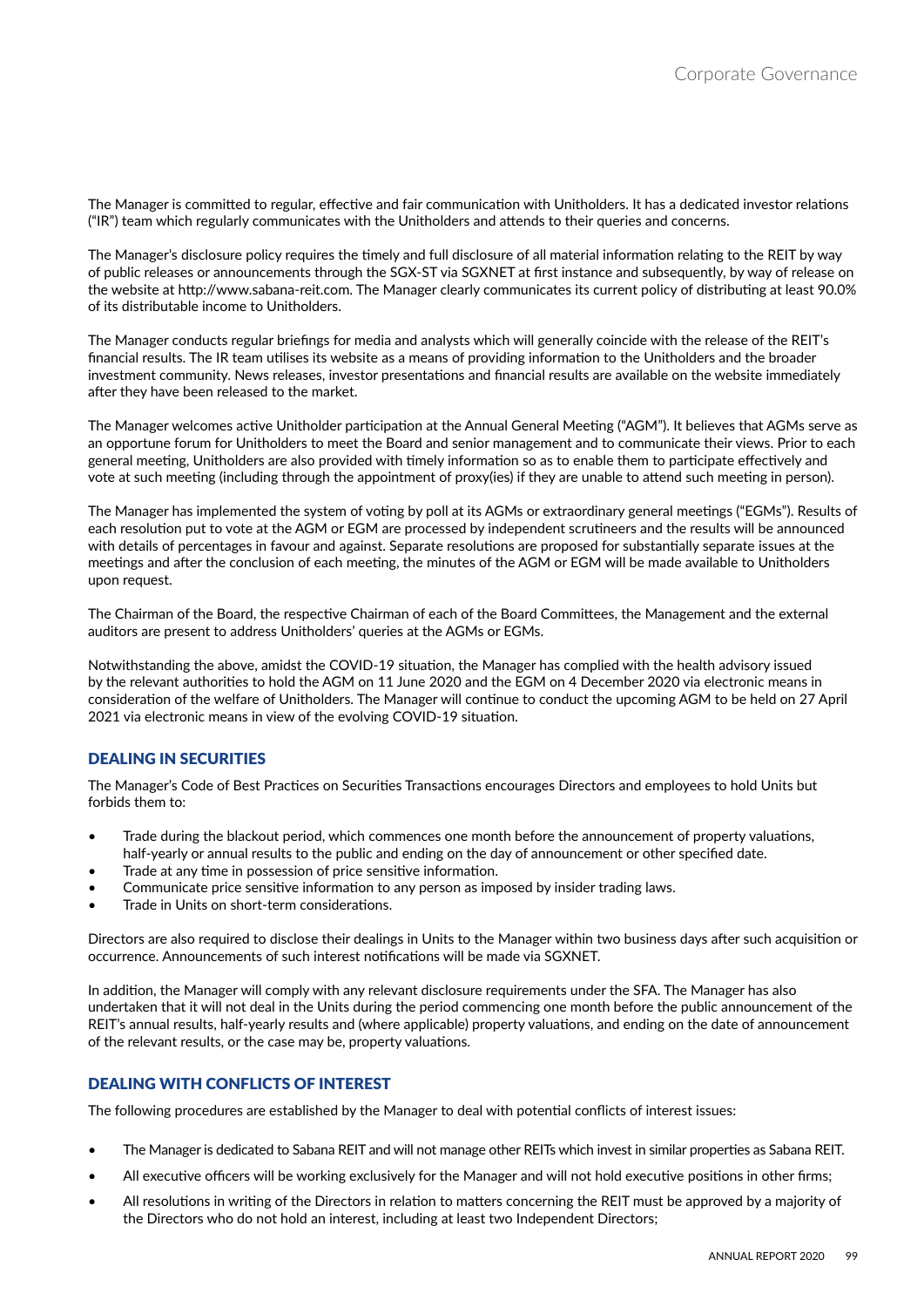The Manager is committed to regular, effective and fair communication with Unitholders. It has a dedicated investor relations ("IR") team which regularly communicates with the Unitholders and attends to their queries and concerns.

The Manager's disclosure policy requires the timely and full disclosure of all material information relating to the REIT by way of public releases or announcements through the SGX-ST via SGXNET at first instance and subsequently, by way of release on the website at http://www.sabana-reit.com. The Manager clearly communicates its current policy of distributing at least 90.0% of its distributable income to Unitholders.

The Manager conducts regular briefings for media and analysts which will generally coincide with the release of the REIT's financial results. The IR team utilises its website as a means of providing information to the Unitholders and the broader investment community. News releases, investor presentations and financial results are available on the website immediately after they have been released to the market.

The Manager welcomes active Unitholder participation at the Annual General Meeting ("AGM"). It believes that AGMs serve as an opportune forum for Unitholders to meet the Board and senior management and to communicate their views. Prior to each general meeting, Unitholders are also provided with timely information so as to enable them to participate effectively and vote at such meeting (including through the appointment of proxy(ies) if they are unable to attend such meeting in person).

The Manager has implemented the system of voting by poll at its AGMs or extraordinary general meetings ("EGMs"). Results of each resolution put to vote at the AGM or EGM are processed by independent scrutineers and the results will be announced with details of percentages in favour and against. Separate resolutions are proposed for substantially separate issues at the meetings and after the conclusion of each meeting, the minutes of the AGM or EGM will be made available to Unitholders upon request.

The Chairman of the Board, the respective Chairman of each of the Board Committees, the Management and the external auditors are present to address Unitholders' queries at the AGMs or EGMs.

Notwithstanding the above, amidst the COVID-19 situation, the Manager has complied with the health advisory issued by the relevant authorities to hold the AGM on 11 June 2020 and the EGM on 4 December 2020 via electronic means in consideration of the welfare of Unitholders. The Manager will continue to conduct the upcoming AGM to be held on 27 April 2021 via electronic means in view of the evolving COVID-19 situation.

# DEALING IN SECURITIES

The Manager's Code of Best Practices on Securities Transactions encourages Directors and employees to hold Units but forbids them to:

- Trade during the blackout period, which commences one month before the announcement of property valuations, half-yearly or annual results to the public and ending on the day of announcement or other specified date.
- Trade at any time in possession of price sensitive information.
- Communicate price sensitive information to any person as imposed by insider trading laws.
- Trade in Units on short-term considerations.

Directors are also required to disclose their dealings in Units to the Manager within two business days after such acquisition or occurrence. Announcements of such interest notifications will be made via SGXNET.

In addition, the Manager will comply with any relevant disclosure requirements under the SFA. The Manager has also undertaken that it will not deal in the Units during the period commencing one month before the public announcement of the REIT's annual results, half-yearly results and (where applicable) property valuations, and ending on the date of announcement of the relevant results, or the case may be, property valuations.

# DEALING WITH CONFLICTS OF INTEREST

The following procedures are established by the Manager to deal with potential conflicts of interest issues:

- The Manager is dedicated to Sabana REIT and will not manage other REITs which invest in similar properties as Sabana REIT.
- All executive officers will be working exclusively for the Manager and will not hold executive positions in other firms;
- All resolutions in writing of the Directors in relation to matters concerning the REIT must be approved by a majority of the Directors who do not hold an interest, including at least two Independent Directors;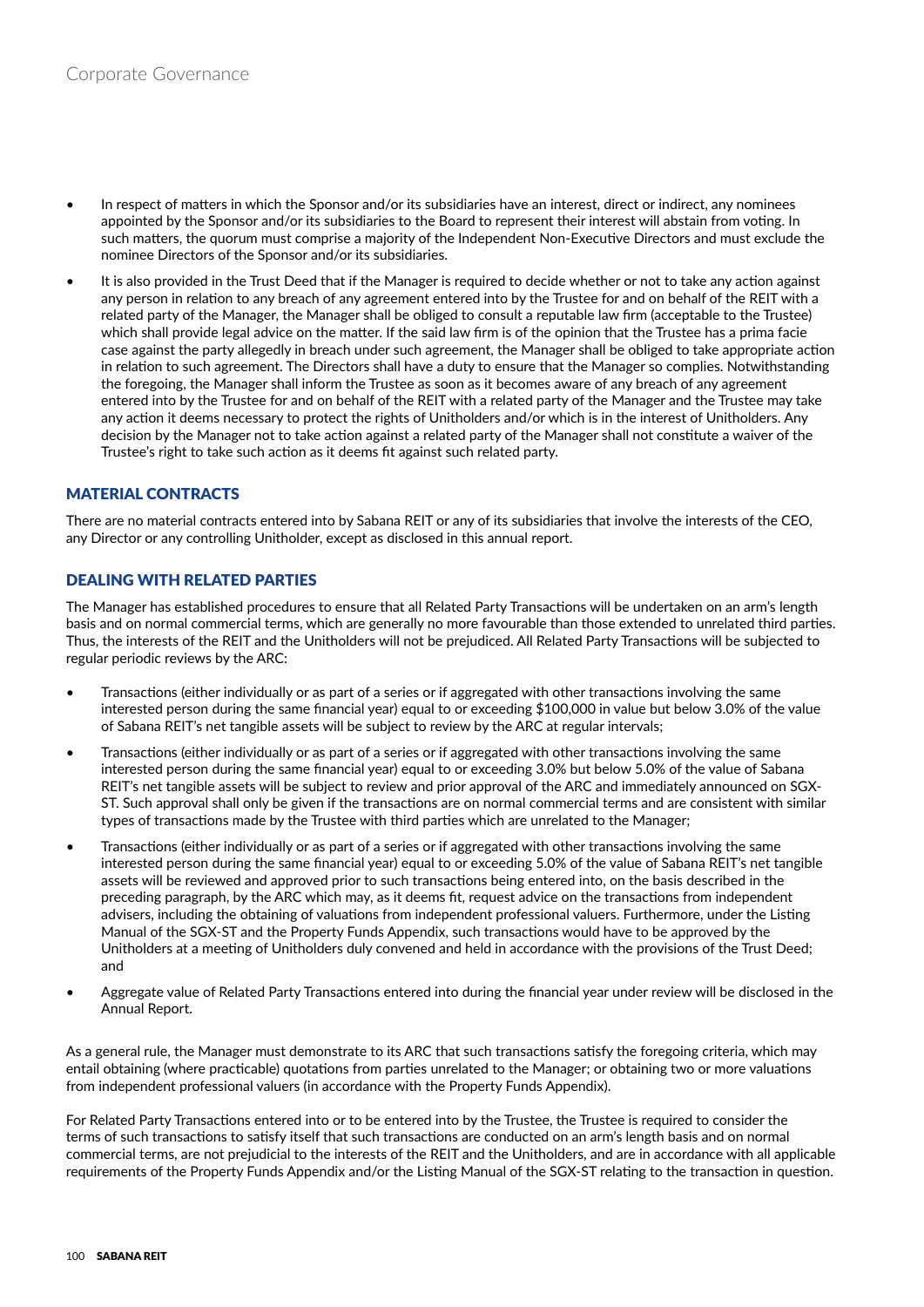- In respect of matters in which the Sponsor and/or its subsidiaries have an interest, direct or indirect, any nominees appointed by the Sponsor and/or its subsidiaries to the Board to represent their interest will abstain from voting. In such matters, the quorum must comprise a majority of the Independent Non-Executive Directors and must exclude the nominee Directors of the Sponsor and/or its subsidiaries.
- It is also provided in the Trust Deed that if the Manager is required to decide whether or not to take any action against any person in relation to any breach of any agreement entered into by the Trustee for and on behalf of the REIT with a related party of the Manager, the Manager shall be obliged to consult a reputable law firm (acceptable to the Trustee) which shall provide legal advice on the matter. If the said law firm is of the opinion that the Trustee has a prima facie case against the party allegedly in breach under such agreement, the Manager shall be obliged to take appropriate action in relation to such agreement. The Directors shall have a duty to ensure that the Manager so complies. Notwithstanding the foregoing, the Manager shall inform the Trustee as soon as it becomes aware of any breach of any agreement entered into by the Trustee for and on behalf of the REIT with a related party of the Manager and the Trustee may take any action it deems necessary to protect the rights of Unitholders and/or which is in the interest of Unitholders. Any decision by the Manager not to take action against a related party of the Manager shall not constitute a waiver of the Trustee's right to take such action as it deems fit against such related party.

# MATERIAL CONTRACTS

There are no material contracts entered into by Sabana REIT or any of its subsidiaries that involve the interests of the CEO, any Director or any controlling Unitholder, except as disclosed in this annual report.

## DEALING WITH RELATED PARTIES

The Manager has established procedures to ensure that all Related Party Transactions will be undertaken on an arm's length basis and on normal commercial terms, which are generally no more favourable than those extended to unrelated third parties. Thus, the interests of the REIT and the Unitholders will not be prejudiced. All Related Party Transactions will be subjected to regular periodic reviews by the ARC:

- Transactions (either individually or as part of a series or if aggregated with other transactions involving the same interested person during the same financial year) equal to or exceeding \$100,000 in value but below 3.0% of the value of Sabana REIT's net tangible assets will be subject to review by the ARC at regular intervals;
- Transactions (either individually or as part of a series or if aggregated with other transactions involving the same interested person during the same financial year) equal to or exceeding 3.0% but below 5.0% of the value of Sabana REIT's net tangible assets will be subject to review and prior approval of the ARC and immediately announced on SGX-ST. Such approval shall only be given if the transactions are on normal commercial terms and are consistent with similar types of transactions made by the Trustee with third parties which are unrelated to the Manager;
- Transactions (either individually or as part of a series or if aggregated with other transactions involving the same interested person during the same financial year) equal to or exceeding 5.0% of the value of Sabana REIT's net tangible assets will be reviewed and approved prior to such transactions being entered into, on the basis described in the preceding paragraph, by the ARC which may, as it deems fit, request advice on the transactions from independent advisers, including the obtaining of valuations from independent professional valuers. Furthermore, under the Listing Manual of the SGX-ST and the Property Funds Appendix, such transactions would have to be approved by the Unitholders at a meeting of Unitholders duly convened and held in accordance with the provisions of the Trust Deed; and
- Aggregate value of Related Party Transactions entered into during the financial year under review will be disclosed in the Annual Report.

As a general rule, the Manager must demonstrate to its ARC that such transactions satisfy the foregoing criteria, which may entail obtaining (where practicable) quotations from parties unrelated to the Manager; or obtaining two or more valuations from independent professional valuers (in accordance with the Property Funds Appendix).

For Related Party Transactions entered into or to be entered into by the Trustee, the Trustee is required to consider the terms of such transactions to satisfy itself that such transactions are conducted on an arm's length basis and on normal commercial terms, are not prejudicial to the interests of the REIT and the Unitholders, and are in accordance with all applicable requirements of the Property Funds Appendix and/or the Listing Manual of the SGX-ST relating to the transaction in question.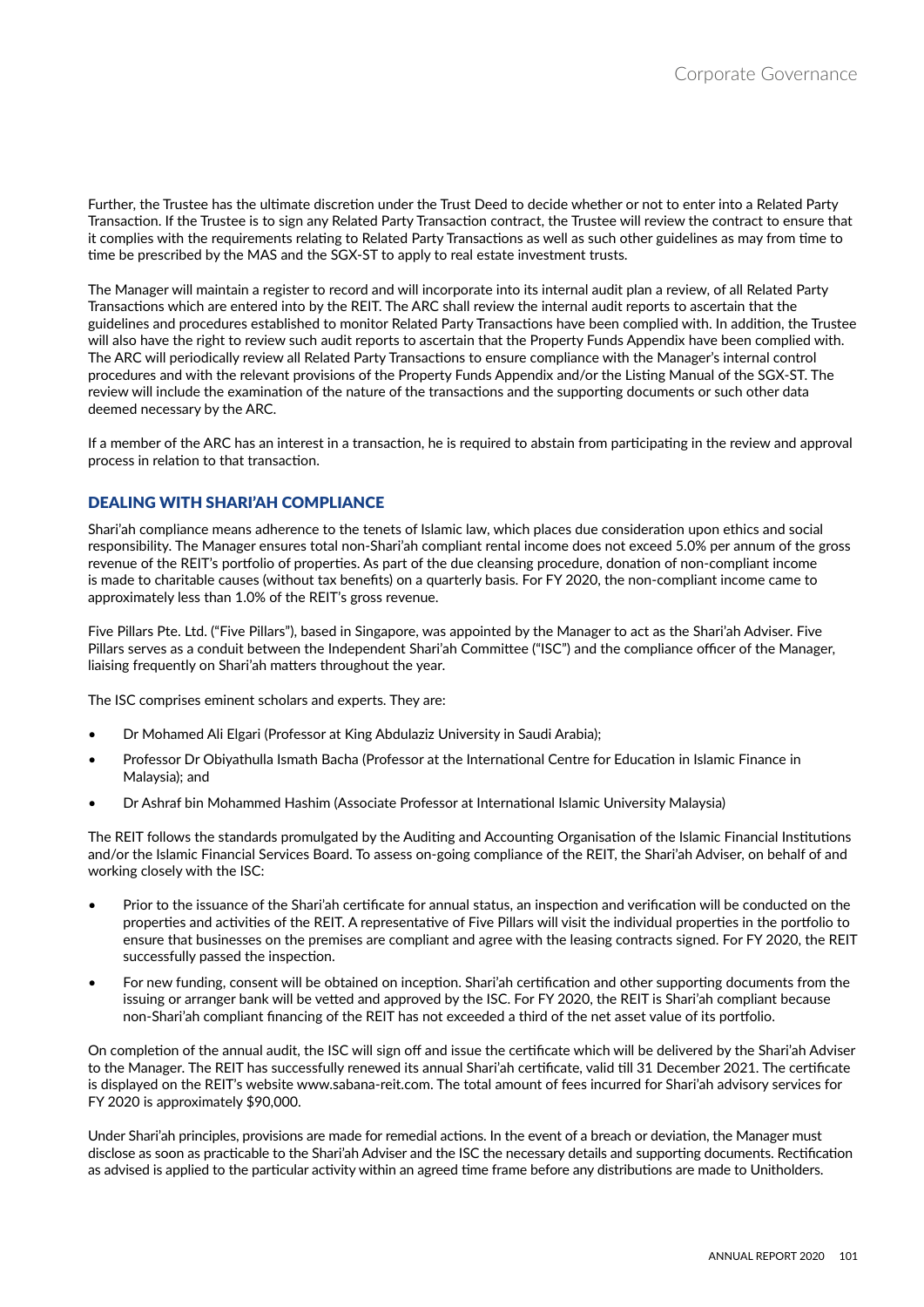Further, the Trustee has the ultimate discretion under the Trust Deed to decide whether or not to enter into a Related Party Transaction. If the Trustee is to sign any Related Party Transaction contract, the Trustee will review the contract to ensure that it complies with the requirements relating to Related Party Transactions as well as such other guidelines as may from time to time be prescribed by the MAS and the SGX-ST to apply to real estate investment trusts.

The Manager will maintain a register to record and will incorporate into its internal audit plan a review, of all Related Party Transactions which are entered into by the REIT. The ARC shall review the internal audit reports to ascertain that the guidelines and procedures established to monitor Related Party Transactions have been complied with. In addition, the Trustee will also have the right to review such audit reports to ascertain that the Property Funds Appendix have been complied with. The ARC will periodically review all Related Party Transactions to ensure compliance with the Manager's internal control procedures and with the relevant provisions of the Property Funds Appendix and/or the Listing Manual of the SGX-ST. The review will include the examination of the nature of the transactions and the supporting documents or such other data deemed necessary by the ARC.

If a member of the ARC has an interest in a transaction, he is required to abstain from participating in the review and approval process in relation to that transaction.

# DEALING WITH SHARI'AH COMPLIANCE

Shari'ah compliance means adherence to the tenets of Islamic law, which places due consideration upon ethics and social responsibility. The Manager ensures total non-Shari'ah compliant rental income does not exceed 5.0% per annum of the gross revenue of the REIT's portfolio of properties. As part of the due cleansing procedure, donation of non-compliant income is made to charitable causes (without tax benefits) on a quarterly basis. For FY 2020, the non-compliant income came to approximately less than 1.0% of the REIT's gross revenue.

Five Pillars Pte. Ltd. ("Five Pillars"), based in Singapore, was appointed by the Manager to act as the Shari'ah Adviser. Five Pillars serves as a conduit between the Independent Shari'ah Committee ("ISC") and the compliance officer of the Manager, liaising frequently on Shari'ah matters throughout the year.

The ISC comprises eminent scholars and experts. They are:

- Dr Mohamed Ali Elgari (Professor at King Abdulaziz University in Saudi Arabia);
- Professor Dr Obiyathulla Ismath Bacha (Professor at the International Centre for Education in Islamic Finance in Malaysia); and
- Dr Ashraf bin Mohammed Hashim (Associate Professor at International Islamic University Malaysia)

The REIT follows the standards promulgated by the Auditing and Accounting Organisation of the Islamic Financial Institutions and/or the Islamic Financial Services Board. To assess on-going compliance of the REIT, the Shari'ah Adviser, on behalf of and working closely with the ISC:

- Prior to the issuance of the Shari'ah certificate for annual status, an inspection and verification will be conducted on the properties and activities of the REIT. A representative of Five Pillars will visit the individual properties in the portfolio to ensure that businesses on the premises are compliant and agree with the leasing contracts signed. For FY 2020, the REIT successfully passed the inspection.
- For new funding, consent will be obtained on inception. Shari'ah certification and other supporting documents from the issuing or arranger bank will be vetted and approved by the ISC. For FY 2020, the REIT is Shari'ah compliant because non-Shari'ah compliant financing of the REIT has not exceeded a third of the net asset value of its portfolio.

On completion of the annual audit, the ISC will sign off and issue the certificate which will be delivered by the Shari'ah Adviser to the Manager. The REIT has successfully renewed its annual Shari'ah certificate, valid till 31 December 2021. The certificate is displayed on the REIT's website www.sabana-reit.com. The total amount of fees incurred for Shari'ah advisory services for FY 2020 is approximately \$90,000.

Under Shari'ah principles, provisions are made for remedial actions. In the event of a breach or deviation, the Manager must disclose as soon as practicable to the Shari'ah Adviser and the ISC the necessary details and supporting documents. Rectification as advised is applied to the particular activity within an agreed time frame before any distributions are made to Unitholders.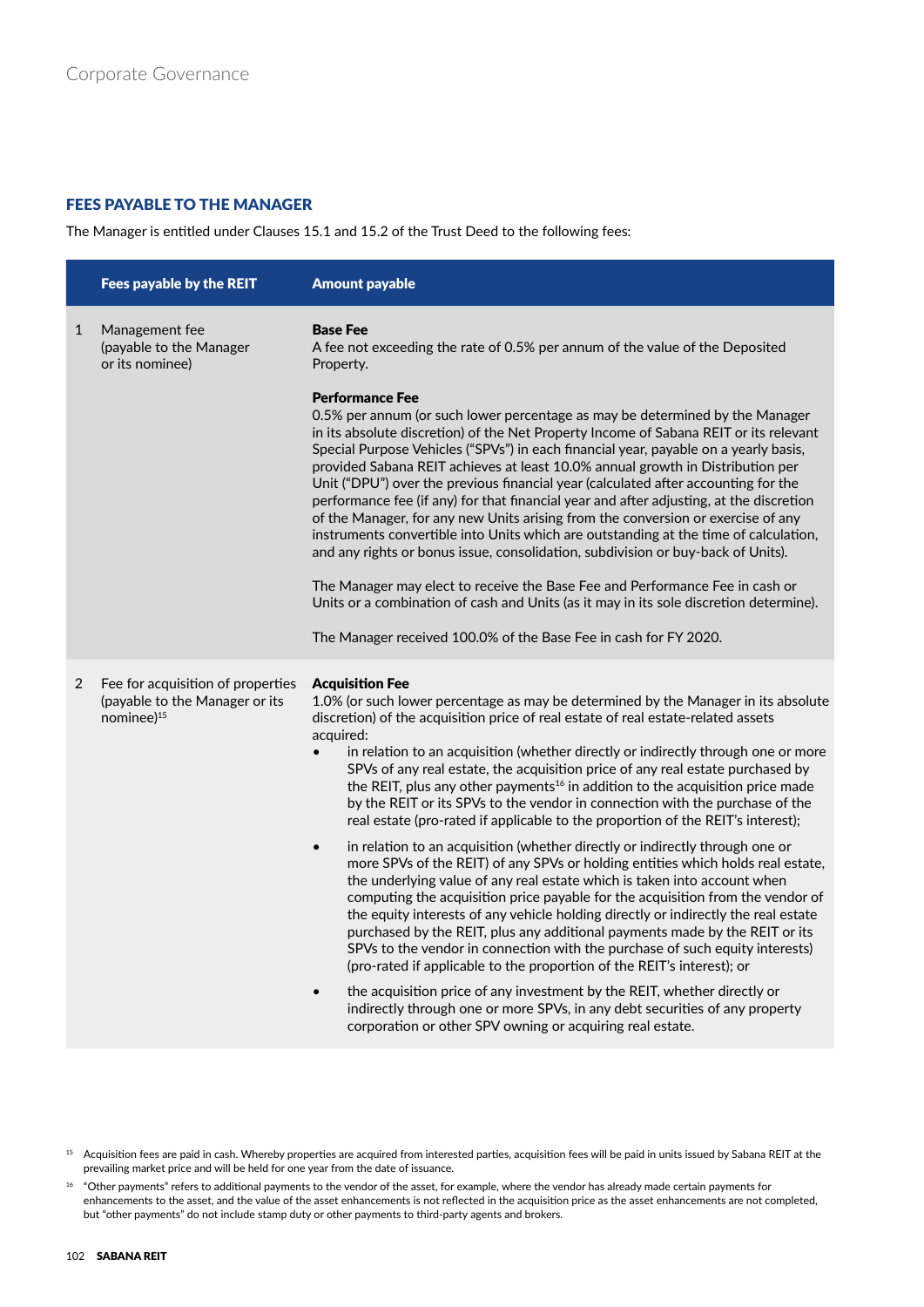# **FEES PAYABLE TO THE MANAGER**

The Manager is entitled under Clauses 15.1 and 15.2 of the Trust Deed to the following fees:

|              | Fees payable by the REIT                                                                      | <b>Amount payable</b>                                                                                                                                                                                                                                                                                                                                                                                                                                                                                                                                                                                                                                                                                                                                                                                                                                                                                                                                                                                                                                                                                  |
|--------------|-----------------------------------------------------------------------------------------------|--------------------------------------------------------------------------------------------------------------------------------------------------------------------------------------------------------------------------------------------------------------------------------------------------------------------------------------------------------------------------------------------------------------------------------------------------------------------------------------------------------------------------------------------------------------------------------------------------------------------------------------------------------------------------------------------------------------------------------------------------------------------------------------------------------------------------------------------------------------------------------------------------------------------------------------------------------------------------------------------------------------------------------------------------------------------------------------------------------|
| $\mathbf{1}$ | Management fee<br>(payable to the Manager<br>or its nominee)                                  | <b>Base Fee</b><br>A fee not exceeding the rate of 0.5% per annum of the value of the Deposited<br>Property.                                                                                                                                                                                                                                                                                                                                                                                                                                                                                                                                                                                                                                                                                                                                                                                                                                                                                                                                                                                           |
|              |                                                                                               | <b>Performance Fee</b><br>0.5% per annum (or such lower percentage as may be determined by the Manager<br>in its absolute discretion) of the Net Property Income of Sabana REIT or its relevant<br>Special Purpose Vehicles ("SPVs") in each financial year, payable on a yearly basis,<br>provided Sabana REIT achieves at least 10.0% annual growth in Distribution per<br>Unit ("DPU") over the previous financial year (calculated after accounting for the<br>performance fee (if any) for that financial year and after adjusting, at the discretion<br>of the Manager, for any new Units arising from the conversion or exercise of any<br>instruments convertible into Units which are outstanding at the time of calculation,<br>and any rights or bonus issue, consolidation, subdivision or buy-back of Units).<br>The Manager may elect to receive the Base Fee and Performance Fee in cash or<br>Units or a combination of cash and Units (as it may in its sole discretion determine).<br>The Manager received 100.0% of the Base Fee in cash for FY 2020.                               |
| 2            | Fee for acquisition of properties<br>(payable to the Manager or its<br>nominee) <sup>15</sup> | <b>Acquisition Fee</b><br>1.0% (or such lower percentage as may be determined by the Manager in its absolute<br>discretion) of the acquisition price of real estate of real estate-related assets<br>acquired:<br>in relation to an acquisition (whether directly or indirectly through one or more<br>$\bullet$<br>SPVs of any real estate, the acquisition price of any real estate purchased by<br>the REIT, plus any other payments <sup>16</sup> in addition to the acquisition price made<br>by the REIT or its SPVs to the vendor in connection with the purchase of the<br>real estate (pro-rated if applicable to the proportion of the REIT's interest);<br>in relation to an acquisition (whether directly or indirectly through one or<br>$\bullet$<br>more SPVs of the REIT) of any SPVs or holding entities which holds real estate,<br>the underlying value of any real estate which is taken into account when<br>computing the acquisition price payable for the acquisition from the vendor of<br>the equity interests of any vehicle holding directly or indirectly the real estate |
|              |                                                                                               | purchased by the REIT, plus any additional payments made by the REIT or its<br>SPVs to the vendor in connection with the purchase of such equity interests)<br>(pro-rated if applicable to the proportion of the REIT's interest); or<br>the acquisition price of any investment by the REIT, whether directly or<br>$\bullet$<br>indirectly through one or more SPVs, in any debt securities of any property<br>corporation or other SPV owning or acquiring real estate.                                                                                                                                                                                                                                                                                                                                                                                                                                                                                                                                                                                                                             |

<sup>&</sup>lt;sup>15</sup> Acquisition fees are paid in cash. Whereby properties are acquired from interested parties, acquisition fees will be paid in units issued by Sabana REIT at the prevailing market price and will be held for one year from the date of issuance.

<sup>16</sup> "Other payments" refers to additional payments to the vendor of the asset, for example, where the vendor has already made certain payments for enhancements to the asset, and the value of the asset enhancements is not reflected in the acquisition price as the asset enhancements are not completed, but "other payments" do not include stamp duty or other payments to third-party agents and brokers.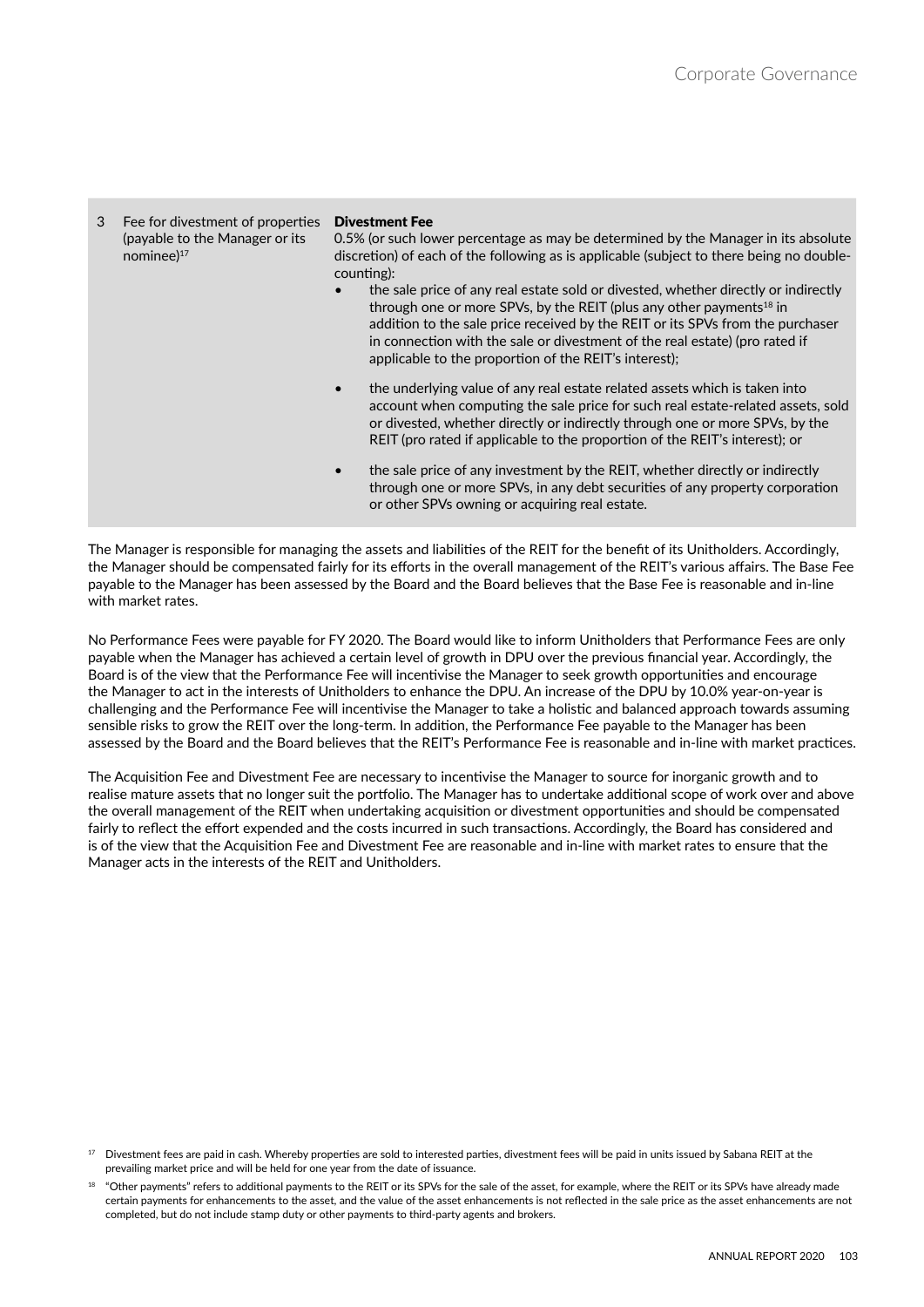Fee for divestment of properties (payable to the Manager or its nominee)<sup>17</sup> **Divestment Fee** 0.5% (or such lower percentage as may be determined by the Manager in its absolute discretion) of each of the following as is applicable (subject to there being no doublecounting): • the sale price of any real estate sold or divested, whether directly or indirectly through one or more SPVs, by the REIT (plus any other payments<sup>18</sup> in addition to the sale price received by the REIT or its SPVs from the purchaser in connection with the sale or divestment of the real estate) (pro rated if applicable to the proportion of the REIT's interest); • the underlying value of any real estate related assets which is taken into account when computing the sale price for such real estate-related assets, sold or divested, whether directly or indirectly through one or more SPVs, by the REIT (pro rated if applicable to the proportion of the REIT's interest); or • the sale price of any investment by the REIT, whether directly or indirectly through one or more SPVs, in any debt securities of any property corporation or other SPVs owning or acquiring real estate.

The Manager is responsible for managing the assets and liabilities of the REIT for the benefit of its Unitholders. Accordingly, the Manager should be compensated fairly for its efforts in the overall management of the REIT's various affairs. The Base Fee payable to the Manager has been assessed by the Board and the Board believes that the Base Fee is reasonable and in-line with market rates.

No Performance Fees were payable for FY 2020. The Board would like to inform Unitholders that Performance Fees are only payable when the Manager has achieved a certain level of growth in DPU over the previous financial year. Accordingly, the Board is of the view that the Performance Fee will incentivise the Manager to seek growth opportunities and encourage the Manager to act in the interests of Unitholders to enhance the DPU. An increase of the DPU by 10.0% year-on-year is challenging and the Performance Fee will incentivise the Manager to take a holistic and balanced approach towards assuming sensible risks to grow the REIT over the long-term. In addition, the Performance Fee payable to the Manager has been assessed by the Board and the Board believes that the REIT's Performance Fee is reasonable and in-line with market practices.

The Acquisition Fee and Divestment Fee are necessary to incentivise the Manager to source for inorganic growth and to realise mature assets that no longer suit the portfolio. The Manager has to undertake additional scope of work over and above the overall management of the REIT when undertaking acquisition or divestment opportunities and should be compensated fairly to reflect the effort expended and the costs incurred in such transactions. Accordingly, the Board has considered and is of the view that the Acquisition Fee and Divestment Fee are reasonable and in-line with market rates to ensure that the Manager acts in the interests of the REIT and Unitholders.

<sup>&</sup>lt;sup>17</sup> Divestment fees are paid in cash. Whereby properties are sold to interested parties, divestment fees will be paid in units issued by Sabana REIT at the prevailing market price and will be held for one year from the date of issuance.

<sup>18</sup> "Other payments" refers to additional payments to the REIT or its SPVs for the sale of the asset, for example, where the REIT or its SPVs have already made certain payments for enhancements to the asset, and the value of the asset enhancements is not reflected in the sale price as the asset enhancements are not completed, but do not include stamp duty or other payments to third-party agents and brokers.